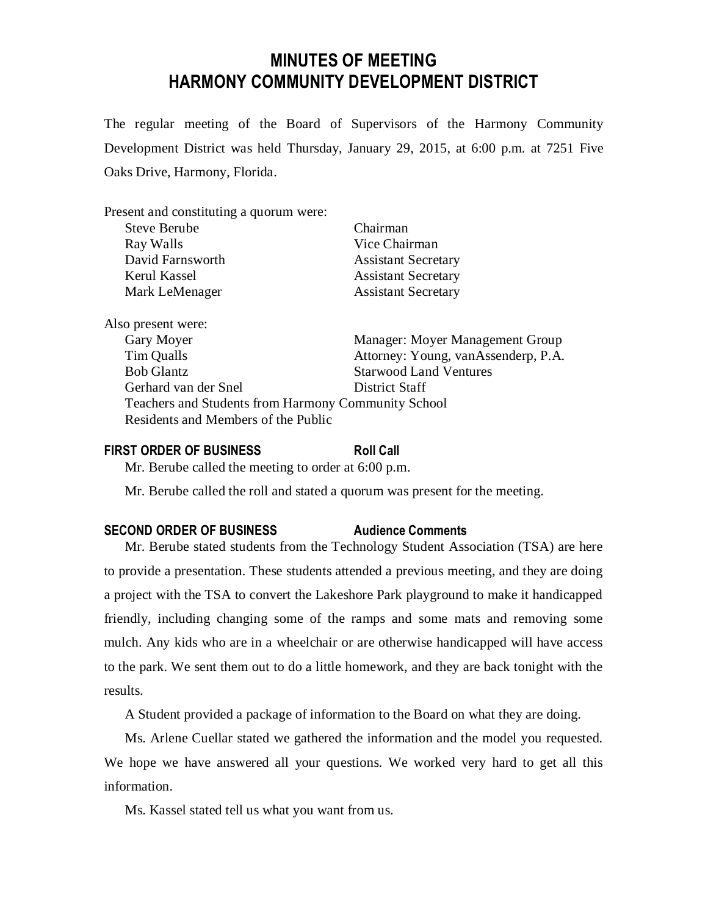# **MINUTES OF MEETING HARMONY COMMUNITY DEVELOPMENT DISTRICT**

The regular meeting of the Board of Supervisors of the Harmony Community Development District was held Thursday, January 29, 2015, at 6:00 p.m. at 7251 Five Oaks Drive, Harmony, Florida.

| Present and constituting a quorum were:             |                                     |
|-----------------------------------------------------|-------------------------------------|
| <b>Steve Berube</b>                                 | Chairman                            |
| Ray Walls                                           | Vice Chairman                       |
| David Farnsworth                                    | <b>Assistant Secretary</b>          |
| Kerul Kassel                                        | <b>Assistant Secretary</b>          |
| Mark LeMenager                                      | <b>Assistant Secretary</b>          |
| Also present were:                                  |                                     |
| Gary Moyer                                          | Manager: Moyer Management Group     |
| Tim Qualls                                          | Attorney: Young, vanAssenderp, P.A. |
| <b>Bob Glantz</b>                                   | <b>Starwood Land Ventures</b>       |
| Gerhard van der Snel                                | District Staff                      |
| Teachers and Students from Harmony Community School |                                     |
| Residents and Members of the Public                 |                                     |

# **FIRST ORDER OF BUSINESS Roll Call**

Mr. Berube called the meeting to order at 6:00 p.m.

Mr. Berube called the roll and stated a quorum was present for the meeting.

# **SECOND ORDER OF BUSINESS Audience Comments**

Mr. Berube stated students from the Technology Student Association (TSA) are here to provide a presentation. These students attended a previous meeting, and they are doing a project with the TSA to convert the Lakeshore Park playground to make it handicapped friendly, including changing some of the ramps and some mats and removing some mulch. Any kids who are in a wheelchair or are otherwise handicapped will have access to the park. We sent them out to do a little homework, and they are back tonight with the results.

A Student provided a package of information to the Board on what they are doing.

Ms. Arlene Cuellar stated we gathered the information and the model you requested. We hope we have answered all your questions. We worked very hard to get all this information.

Ms. Kassel stated tell us what you want from us.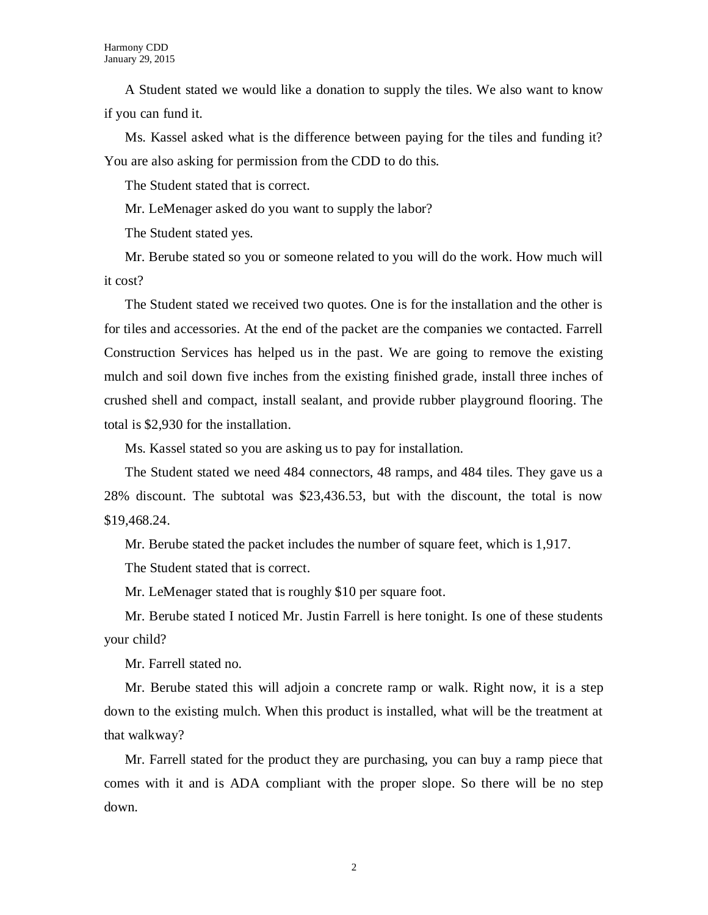A Student stated we would like a donation to supply the tiles. We also want to know if you can fund it.

Ms. Kassel asked what is the difference between paying for the tiles and funding it? You are also asking for permission from the CDD to do this.

The Student stated that is correct.

Mr. LeMenager asked do you want to supply the labor?

The Student stated yes.

Mr. Berube stated so you or someone related to you will do the work. How much will it cost?

The Student stated we received two quotes. One is for the installation and the other is for tiles and accessories. At the end of the packet are the companies we contacted. Farrell Construction Services has helped us in the past. We are going to remove the existing mulch and soil down five inches from the existing finished grade, install three inches of crushed shell and compact, install sealant, and provide rubber playground flooring. The total is \$2,930 for the installation.

Ms. Kassel stated so you are asking us to pay for installation.

The Student stated we need 484 connectors, 48 ramps, and 484 tiles. They gave us a 28% discount. The subtotal was \$23,436.53, but with the discount, the total is now \$19,468.24.

Mr. Berube stated the packet includes the number of square feet, which is 1,917.

The Student stated that is correct.

Mr. LeMenager stated that is roughly \$10 per square foot.

Mr. Berube stated I noticed Mr. Justin Farrell is here tonight. Is one of these students your child?

Mr. Farrell stated no.

Mr. Berube stated this will adjoin a concrete ramp or walk. Right now, it is a step down to the existing mulch. When this product is installed, what will be the treatment at that walkway?

Mr. Farrell stated for the product they are purchasing, you can buy a ramp piece that comes with it and is ADA compliant with the proper slope. So there will be no step down.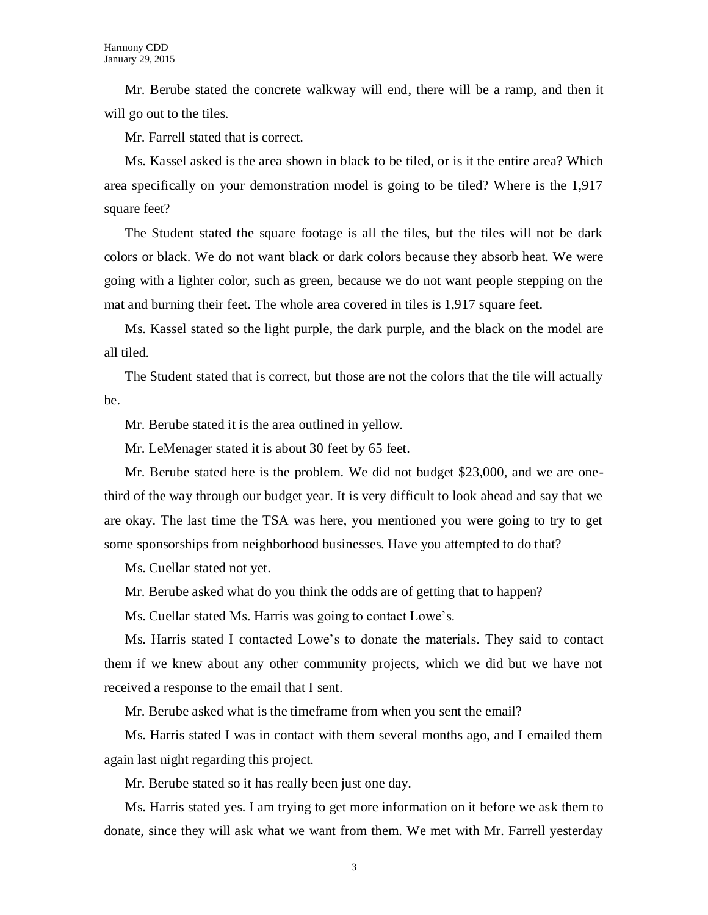Mr. Berube stated the concrete walkway will end, there will be a ramp, and then it will go out to the tiles.

Mr. Farrell stated that is correct.

Ms. Kassel asked is the area shown in black to be tiled, or is it the entire area? Which area specifically on your demonstration model is going to be tiled? Where is the 1,917 square feet?

The Student stated the square footage is all the tiles, but the tiles will not be dark colors or black. We do not want black or dark colors because they absorb heat. We were going with a lighter color, such as green, because we do not want people stepping on the mat and burning their feet. The whole area covered in tiles is 1,917 square feet.

Ms. Kassel stated so the light purple, the dark purple, and the black on the model are all tiled.

The Student stated that is correct, but those are not the colors that the tile will actually be.

Mr. Berube stated it is the area outlined in yellow.

Mr. LeMenager stated it is about 30 feet by 65 feet.

Mr. Berube stated here is the problem. We did not budget \$23,000, and we are onethird of the way through our budget year. It is very difficult to look ahead and say that we are okay. The last time the TSA was here, you mentioned you were going to try to get some sponsorships from neighborhood businesses. Have you attempted to do that?

Ms. Cuellar stated not yet.

Mr. Berube asked what do you think the odds are of getting that to happen?

Ms. Cuellar stated Ms. Harris was going to contact Lowe's.

Ms. Harris stated I contacted Lowe's to donate the materials. They said to contact them if we knew about any other community projects, which we did but we have not received a response to the email that I sent.

Mr. Berube asked what is the timeframe from when you sent the email?

Ms. Harris stated I was in contact with them several months ago, and I emailed them again last night regarding this project.

Mr. Berube stated so it has really been just one day.

Ms. Harris stated yes. I am trying to get more information on it before we ask them to donate, since they will ask what we want from them. We met with Mr. Farrell yesterday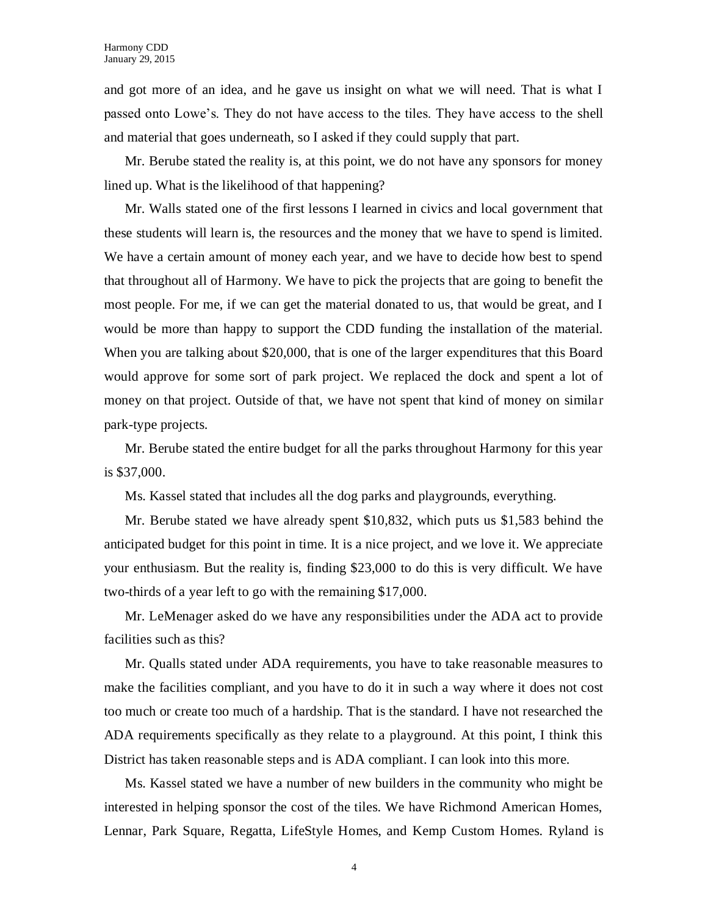and got more of an idea, and he gave us insight on what we will need. That is what I passed onto Lowe's. They do not have access to the tiles. They have access to the shell and material that goes underneath, so I asked if they could supply that part.

Mr. Berube stated the reality is, at this point, we do not have any sponsors for money lined up. What is the likelihood of that happening?

Mr. Walls stated one of the first lessons I learned in civics and local government that these students will learn is, the resources and the money that we have to spend is limited. We have a certain amount of money each year, and we have to decide how best to spend that throughout all of Harmony. We have to pick the projects that are going to benefit the most people. For me, if we can get the material donated to us, that would be great, and I would be more than happy to support the CDD funding the installation of the material. When you are talking about \$20,000, that is one of the larger expenditures that this Board would approve for some sort of park project. We replaced the dock and spent a lot of money on that project. Outside of that, we have not spent that kind of money on similar park-type projects.

Mr. Berube stated the entire budget for all the parks throughout Harmony for this year is \$37,000.

Ms. Kassel stated that includes all the dog parks and playgrounds, everything.

Mr. Berube stated we have already spent \$10,832, which puts us \$1,583 behind the anticipated budget for this point in time. It is a nice project, and we love it. We appreciate your enthusiasm. But the reality is, finding \$23,000 to do this is very difficult. We have two-thirds of a year left to go with the remaining \$17,000.

Mr. LeMenager asked do we have any responsibilities under the ADA act to provide facilities such as this?

Mr. Qualls stated under ADA requirements, you have to take reasonable measures to make the facilities compliant, and you have to do it in such a way where it does not cost too much or create too much of a hardship. That is the standard. I have not researched the ADA requirements specifically as they relate to a playground. At this point, I think this District has taken reasonable steps and is ADA compliant. I can look into this more.

Ms. Kassel stated we have a number of new builders in the community who might be interested in helping sponsor the cost of the tiles. We have Richmond American Homes, Lennar, Park Square, Regatta, LifeStyle Homes, and Kemp Custom Homes. Ryland is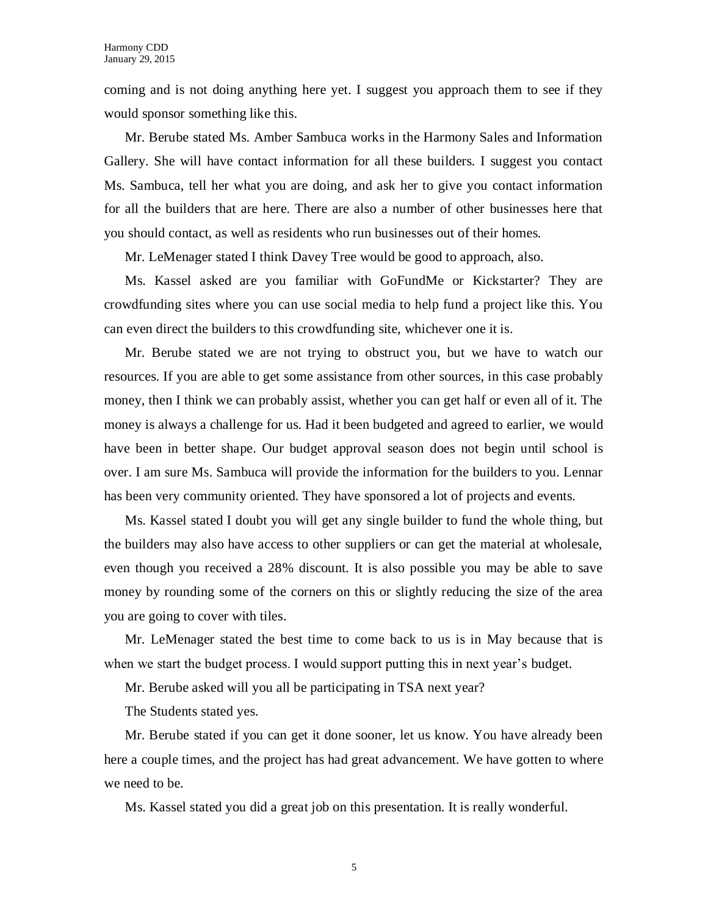coming and is not doing anything here yet. I suggest you approach them to see if they would sponsor something like this.

Mr. Berube stated Ms. Amber Sambuca works in the Harmony Sales and Information Gallery. She will have contact information for all these builders. I suggest you contact Ms. Sambuca, tell her what you are doing, and ask her to give you contact information for all the builders that are here. There are also a number of other businesses here that you should contact, as well as residents who run businesses out of their homes.

Mr. LeMenager stated I think Davey Tree would be good to approach, also.

Ms. Kassel asked are you familiar with GoFundMe or Kickstarter? They are crowdfunding sites where you can use social media to help fund a project like this. You can even direct the builders to this crowdfunding site, whichever one it is.

Mr. Berube stated we are not trying to obstruct you, but we have to watch our resources. If you are able to get some assistance from other sources, in this case probably money, then I think we can probably assist, whether you can get half or even all of it. The money is always a challenge for us. Had it been budgeted and agreed to earlier, we would have been in better shape. Our budget approval season does not begin until school is over. I am sure Ms. Sambuca will provide the information for the builders to you. Lennar has been very community oriented. They have sponsored a lot of projects and events.

Ms. Kassel stated I doubt you will get any single builder to fund the whole thing, but the builders may also have access to other suppliers or can get the material at wholesale, even though you received a 28% discount. It is also possible you may be able to save money by rounding some of the corners on this or slightly reducing the size of the area you are going to cover with tiles.

Mr. LeMenager stated the best time to come back to us is in May because that is when we start the budget process. I would support putting this in next year's budget.

Mr. Berube asked will you all be participating in TSA next year?

The Students stated yes.

Mr. Berube stated if you can get it done sooner, let us know. You have already been here a couple times, and the project has had great advancement. We have gotten to where we need to be.

Ms. Kassel stated you did a great job on this presentation. It is really wonderful.

5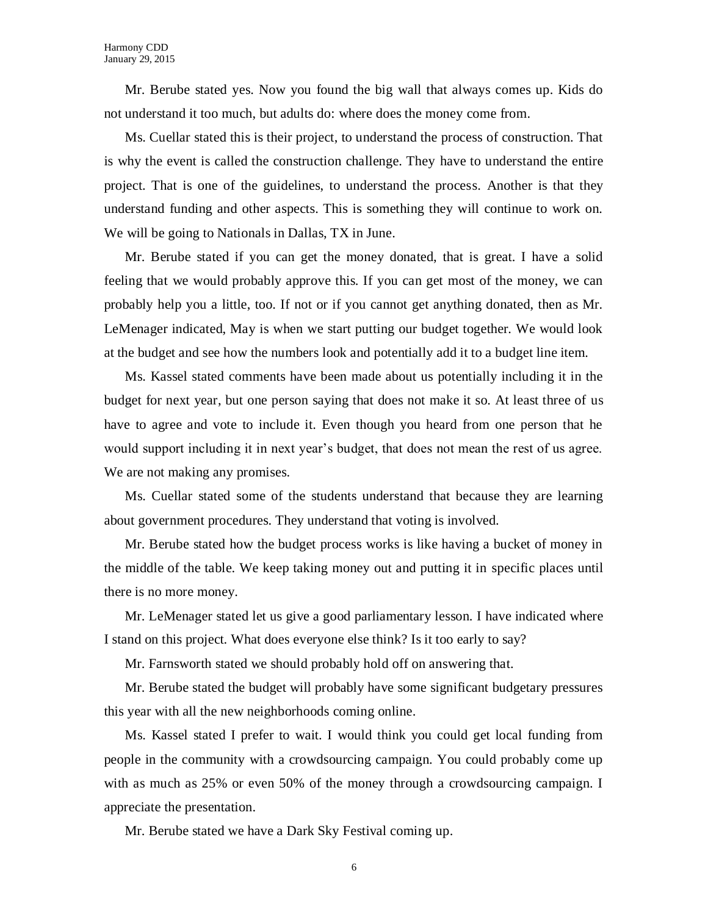Mr. Berube stated yes. Now you found the big wall that always comes up. Kids do not understand it too much, but adults do: where does the money come from.

Ms. Cuellar stated this is their project, to understand the process of construction. That is why the event is called the construction challenge. They have to understand the entire project. That is one of the guidelines, to understand the process. Another is that they understand funding and other aspects. This is something they will continue to work on. We will be going to Nationals in Dallas, TX in June.

Mr. Berube stated if you can get the money donated, that is great. I have a solid feeling that we would probably approve this. If you can get most of the money, we can probably help you a little, too. If not or if you cannot get anything donated, then as Mr. LeMenager indicated, May is when we start putting our budget together. We would look at the budget and see how the numbers look and potentially add it to a budget line item.

Ms. Kassel stated comments have been made about us potentially including it in the budget for next year, but one person saying that does not make it so. At least three of us have to agree and vote to include it. Even though you heard from one person that he would support including it in next year's budget, that does not mean the rest of us agree. We are not making any promises.

Ms. Cuellar stated some of the students understand that because they are learning about government procedures. They understand that voting is involved.

Mr. Berube stated how the budget process works is like having a bucket of money in the middle of the table. We keep taking money out and putting it in specific places until there is no more money.

Mr. LeMenager stated let us give a good parliamentary lesson. I have indicated where I stand on this project. What does everyone else think? Is it too early to say?

Mr. Farnsworth stated we should probably hold off on answering that.

Mr. Berube stated the budget will probably have some significant budgetary pressures this year with all the new neighborhoods coming online.

Ms. Kassel stated I prefer to wait. I would think you could get local funding from people in the community with a crowdsourcing campaign. You could probably come up with as much as 25% or even 50% of the money through a crowdsourcing campaign. I appreciate the presentation.

Mr. Berube stated we have a Dark Sky Festival coming up.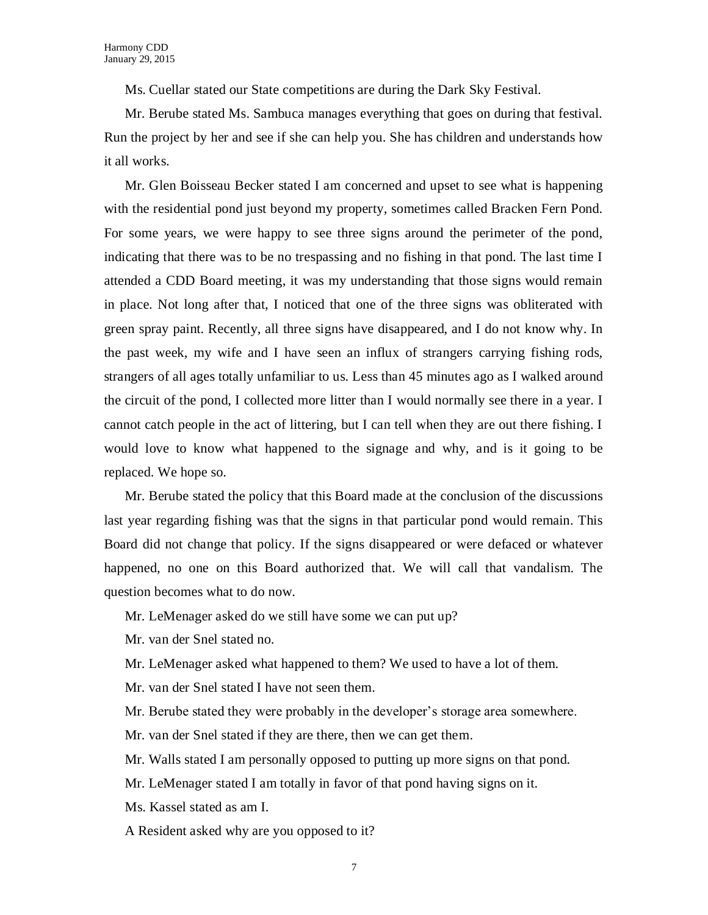Ms. Cuellar stated our State competitions are during the Dark Sky Festival.

Mr. Berube stated Ms. Sambuca manages everything that goes on during that festival. Run the project by her and see if she can help you. She has children and understands how it all works.

Mr. Glen Boisseau Becker stated I am concerned and upset to see what is happening with the residential pond just beyond my property, sometimes called Bracken Fern Pond. For some years, we were happy to see three signs around the perimeter of the pond, indicating that there was to be no trespassing and no fishing in that pond. The last time I attended a CDD Board meeting, it was my understanding that those signs would remain in place. Not long after that, I noticed that one of the three signs was obliterated with green spray paint. Recently, all three signs have disappeared, and I do not know why. In the past week, my wife and I have seen an influx of strangers carrying fishing rods, strangers of all ages totally unfamiliar to us. Less than 45 minutes ago as I walked around the circuit of the pond, I collected more litter than I would normally see there in a year. I cannot catch people in the act of littering, but I can tell when they are out there fishing. I would love to know what happened to the signage and why, and is it going to be replaced. We hope so.

Mr. Berube stated the policy that this Board made at the conclusion of the discussions last year regarding fishing was that the signs in that particular pond would remain. This Board did not change that policy. If the signs disappeared or were defaced or whatever happened, no one on this Board authorized that. We will call that vandalism. The question becomes what to do now.

Mr. LeMenager asked do we still have some we can put up?

Mr. van der Snel stated no.

Mr. LeMenager asked what happened to them? We used to have a lot of them.

Mr. van der Snel stated I have not seen them.

Mr. Berube stated they were probably in the developer's storage area somewhere.

Mr. van der Snel stated if they are there, then we can get them.

Mr. Walls stated I am personally opposed to putting up more signs on that pond.

Mr. LeMenager stated I am totally in favor of that pond having signs on it.

Ms. Kassel stated as am I.

A Resident asked why are you opposed to it?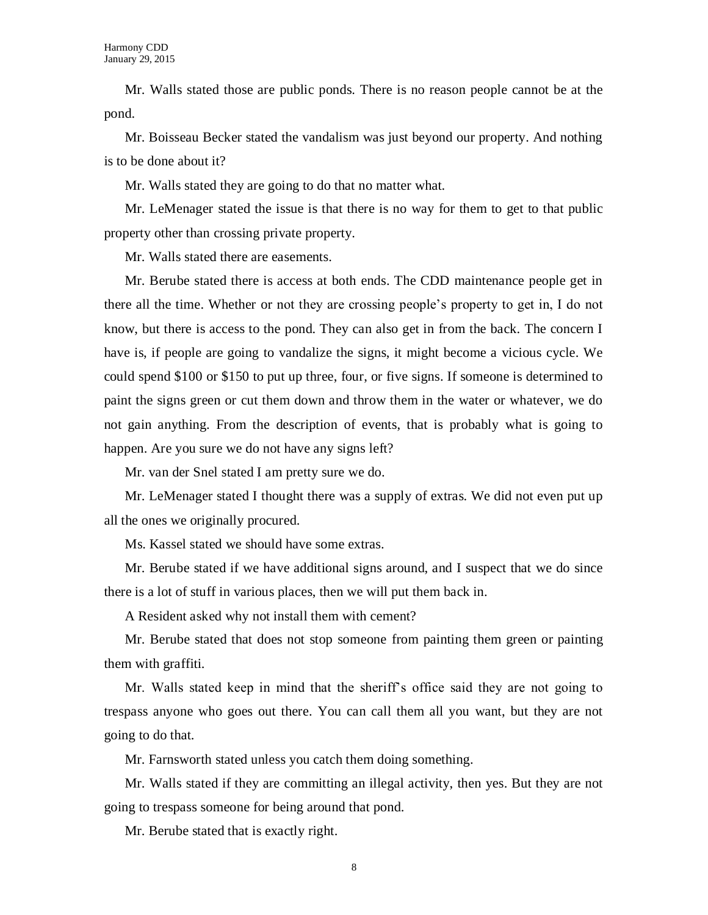Mr. Walls stated those are public ponds. There is no reason people cannot be at the pond.

Mr. Boisseau Becker stated the vandalism was just beyond our property. And nothing is to be done about it?

Mr. Walls stated they are going to do that no matter what.

Mr. LeMenager stated the issue is that there is no way for them to get to that public property other than crossing private property.

Mr. Walls stated there are easements.

Mr. Berube stated there is access at both ends. The CDD maintenance people get in there all the time. Whether or not they are crossing people's property to get in, I do not know, but there is access to the pond. They can also get in from the back. The concern I have is, if people are going to vandalize the signs, it might become a vicious cycle. We could spend \$100 or \$150 to put up three, four, or five signs. If someone is determined to paint the signs green or cut them down and throw them in the water or whatever, we do not gain anything. From the description of events, that is probably what is going to happen. Are you sure we do not have any signs left?

Mr. van der Snel stated I am pretty sure we do.

Mr. LeMenager stated I thought there was a supply of extras. We did not even put up all the ones we originally procured.

Ms. Kassel stated we should have some extras.

Mr. Berube stated if we have additional signs around, and I suspect that we do since there is a lot of stuff in various places, then we will put them back in.

A Resident asked why not install them with cement?

Mr. Berube stated that does not stop someone from painting them green or painting them with graffiti.

Mr. Walls stated keep in mind that the sheriff's office said they are not going to trespass anyone who goes out there. You can call them all you want, but they are not going to do that.

Mr. Farnsworth stated unless you catch them doing something.

Mr. Walls stated if they are committing an illegal activity, then yes. But they are not going to trespass someone for being around that pond.

Mr. Berube stated that is exactly right.

8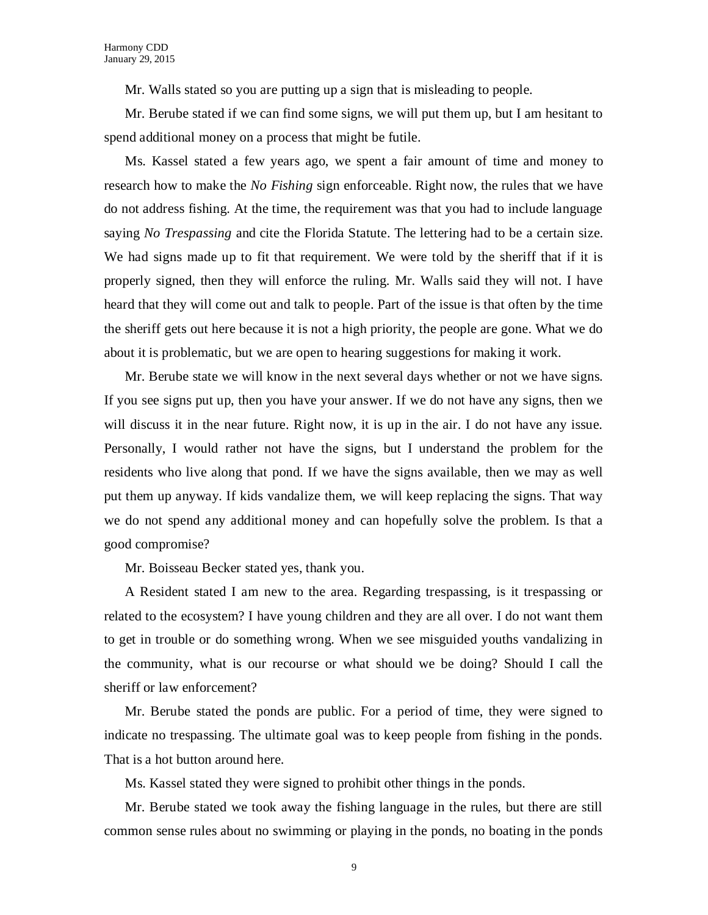Mr. Walls stated so you are putting up a sign that is misleading to people.

Mr. Berube stated if we can find some signs, we will put them up, but I am hesitant to spend additional money on a process that might be futile.

Ms. Kassel stated a few years ago, we spent a fair amount of time and money to research how to make the *No Fishing* sign enforceable. Right now, the rules that we have do not address fishing. At the time, the requirement was that you had to include language saying *No Trespassing* and cite the Florida Statute. The lettering had to be a certain size. We had signs made up to fit that requirement. We were told by the sheriff that if it is properly signed, then they will enforce the ruling. Mr. Walls said they will not. I have heard that they will come out and talk to people. Part of the issue is that often by the time the sheriff gets out here because it is not a high priority, the people are gone. What we do about it is problematic, but we are open to hearing suggestions for making it work.

Mr. Berube state we will know in the next several days whether or not we have signs. If you see signs put up, then you have your answer. If we do not have any signs, then we will discuss it in the near future. Right now, it is up in the air. I do not have any issue. Personally, I would rather not have the signs, but I understand the problem for the residents who live along that pond. If we have the signs available, then we may as well put them up anyway. If kids vandalize them, we will keep replacing the signs. That way we do not spend any additional money and can hopefully solve the problem. Is that a good compromise?

Mr. Boisseau Becker stated yes, thank you.

A Resident stated I am new to the area. Regarding trespassing, is it trespassing or related to the ecosystem? I have young children and they are all over. I do not want them to get in trouble or do something wrong. When we see misguided youths vandalizing in the community, what is our recourse or what should we be doing? Should I call the sheriff or law enforcement?

Mr. Berube stated the ponds are public. For a period of time, they were signed to indicate no trespassing. The ultimate goal was to keep people from fishing in the ponds. That is a hot button around here.

Ms. Kassel stated they were signed to prohibit other things in the ponds.

Mr. Berube stated we took away the fishing language in the rules, but there are still common sense rules about no swimming or playing in the ponds, no boating in the ponds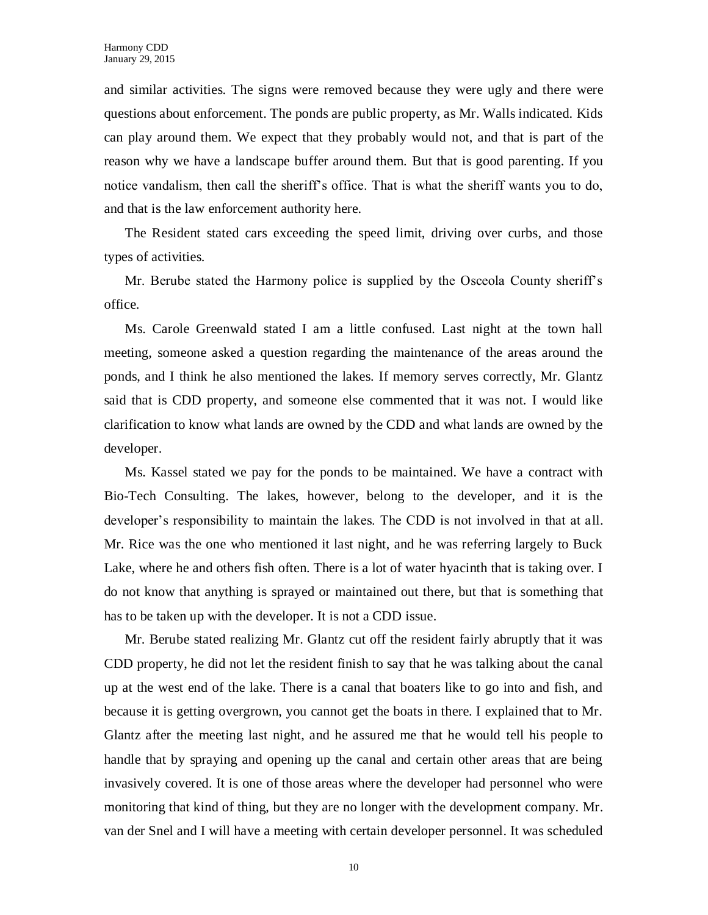and similar activities. The signs were removed because they were ugly and there were questions about enforcement. The ponds are public property, as Mr. Walls indicated. Kids can play around them. We expect that they probably would not, and that is part of the reason why we have a landscape buffer around them. But that is good parenting. If you notice vandalism, then call the sheriff's office. That is what the sheriff wants you to do, and that is the law enforcement authority here.

The Resident stated cars exceeding the speed limit, driving over curbs, and those types of activities.

Mr. Berube stated the Harmony police is supplied by the Osceola County sheriff's office.

Ms. Carole Greenwald stated I am a little confused. Last night at the town hall meeting, someone asked a question regarding the maintenance of the areas around the ponds, and I think he also mentioned the lakes. If memory serves correctly, Mr. Glantz said that is CDD property, and someone else commented that it was not. I would like clarification to know what lands are owned by the CDD and what lands are owned by the developer.

Ms. Kassel stated we pay for the ponds to be maintained. We have a contract with Bio-Tech Consulting. The lakes, however, belong to the developer, and it is the developer's responsibility to maintain the lakes. The CDD is not involved in that at all. Mr. Rice was the one who mentioned it last night, and he was referring largely to Buck Lake, where he and others fish often. There is a lot of water hyacinth that is taking over. I do not know that anything is sprayed or maintained out there, but that is something that has to be taken up with the developer. It is not a CDD issue.

Mr. Berube stated realizing Mr. Glantz cut off the resident fairly abruptly that it was CDD property, he did not let the resident finish to say that he was talking about the canal up at the west end of the lake. There is a canal that boaters like to go into and fish, and because it is getting overgrown, you cannot get the boats in there. I explained that to Mr. Glantz after the meeting last night, and he assured me that he would tell his people to handle that by spraying and opening up the canal and certain other areas that are being invasively covered. It is one of those areas where the developer had personnel who were monitoring that kind of thing, but they are no longer with the development company. Mr. van der Snel and I will have a meeting with certain developer personnel. It was scheduled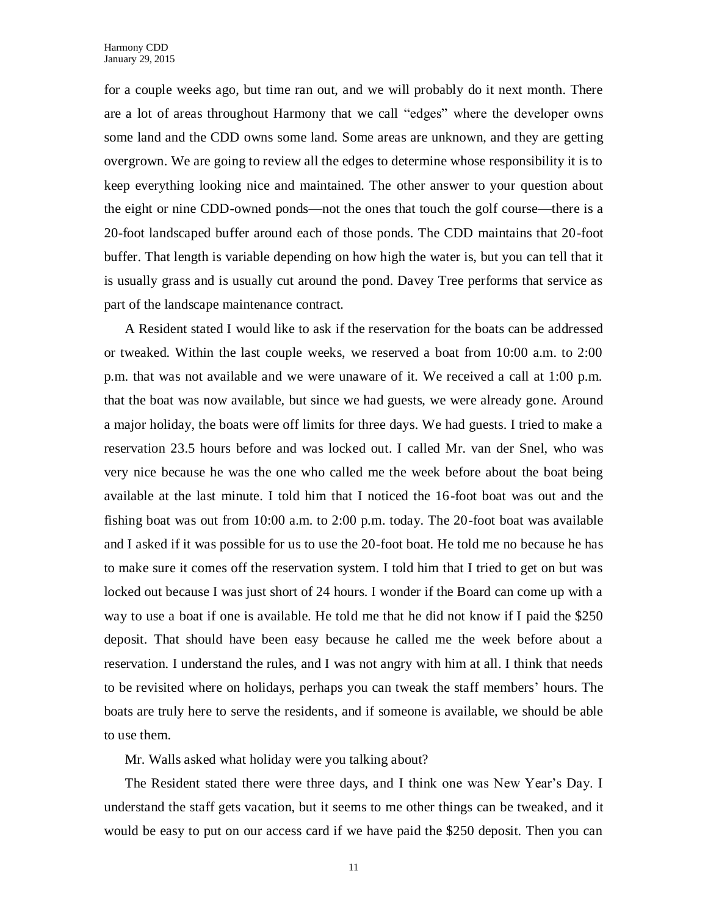for a couple weeks ago, but time ran out, and we will probably do it next month. There are a lot of areas throughout Harmony that we call "edges" where the developer owns some land and the CDD owns some land. Some areas are unknown, and they are getting overgrown. We are going to review all the edges to determine whose responsibility it is to keep everything looking nice and maintained. The other answer to your question about the eight or nine CDD-owned ponds—not the ones that touch the golf course—there is a 20-foot landscaped buffer around each of those ponds. The CDD maintains that 20-foot buffer. That length is variable depending on how high the water is, but you can tell that it is usually grass and is usually cut around the pond. Davey Tree performs that service as part of the landscape maintenance contract.

A Resident stated I would like to ask if the reservation for the boats can be addressed or tweaked. Within the last couple weeks, we reserved a boat from 10:00 a.m. to 2:00 p.m. that was not available and we were unaware of it. We received a call at 1:00 p.m. that the boat was now available, but since we had guests, we were already gone. Around a major holiday, the boats were off limits for three days. We had guests. I tried to make a reservation 23.5 hours before and was locked out. I called Mr. van der Snel, who was very nice because he was the one who called me the week before about the boat being available at the last minute. I told him that I noticed the 16-foot boat was out and the fishing boat was out from 10:00 a.m. to 2:00 p.m. today. The 20-foot boat was available and I asked if it was possible for us to use the 20-foot boat. He told me no because he has to make sure it comes off the reservation system. I told him that I tried to get on but was locked out because I was just short of 24 hours. I wonder if the Board can come up with a way to use a boat if one is available. He told me that he did not know if I paid the \$250 deposit. That should have been easy because he called me the week before about a reservation. I understand the rules, and I was not angry with him at all. I think that needs to be revisited where on holidays, perhaps you can tweak the staff members' hours. The boats are truly here to serve the residents, and if someone is available, we should be able to use them.

Mr. Walls asked what holiday were you talking about?

The Resident stated there were three days, and I think one was New Year's Day. I understand the staff gets vacation, but it seems to me other things can be tweaked, and it would be easy to put on our access card if we have paid the \$250 deposit. Then you can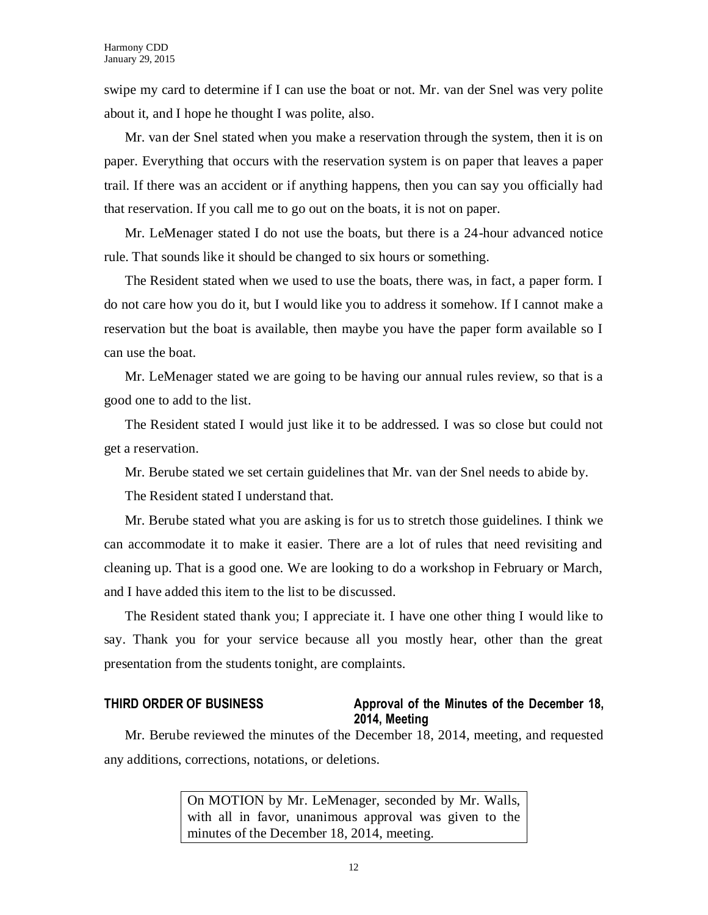swipe my card to determine if I can use the boat or not. Mr. van der Snel was very polite about it, and I hope he thought I was polite, also.

Mr. van der Snel stated when you make a reservation through the system, then it is on paper. Everything that occurs with the reservation system is on paper that leaves a paper trail. If there was an accident or if anything happens, then you can say you officially had that reservation. If you call me to go out on the boats, it is not on paper.

Mr. LeMenager stated I do not use the boats, but there is a 24-hour advanced notice rule. That sounds like it should be changed to six hours or something.

The Resident stated when we used to use the boats, there was, in fact, a paper form. I do not care how you do it, but I would like you to address it somehow. If I cannot make a reservation but the boat is available, then maybe you have the paper form available so I can use the boat.

Mr. LeMenager stated we are going to be having our annual rules review, so that is a good one to add to the list.

The Resident stated I would just like it to be addressed. I was so close but could not get a reservation.

Mr. Berube stated we set certain guidelines that Mr. van der Snel needs to abide by.

The Resident stated I understand that.

Mr. Berube stated what you are asking is for us to stretch those guidelines. I think we can accommodate it to make it easier. There are a lot of rules that need revisiting and cleaning up. That is a good one. We are looking to do a workshop in February or March, and I have added this item to the list to be discussed.

The Resident stated thank you; I appreciate it. I have one other thing I would like to say. Thank you for your service because all you mostly hear, other than the great presentation from the students tonight, are complaints.

# **THIRD ORDER OF BUSINESS Approval of the Minutes of the December 18, 2014, Meeting**

Mr. Berube reviewed the minutes of the December 18, 2014, meeting, and requested any additions, corrections, notations, or deletions.

> On MOTION by Mr. LeMenager, seconded by Mr. Walls, with all in favor, unanimous approval was given to the minutes of the December 18, 2014, meeting.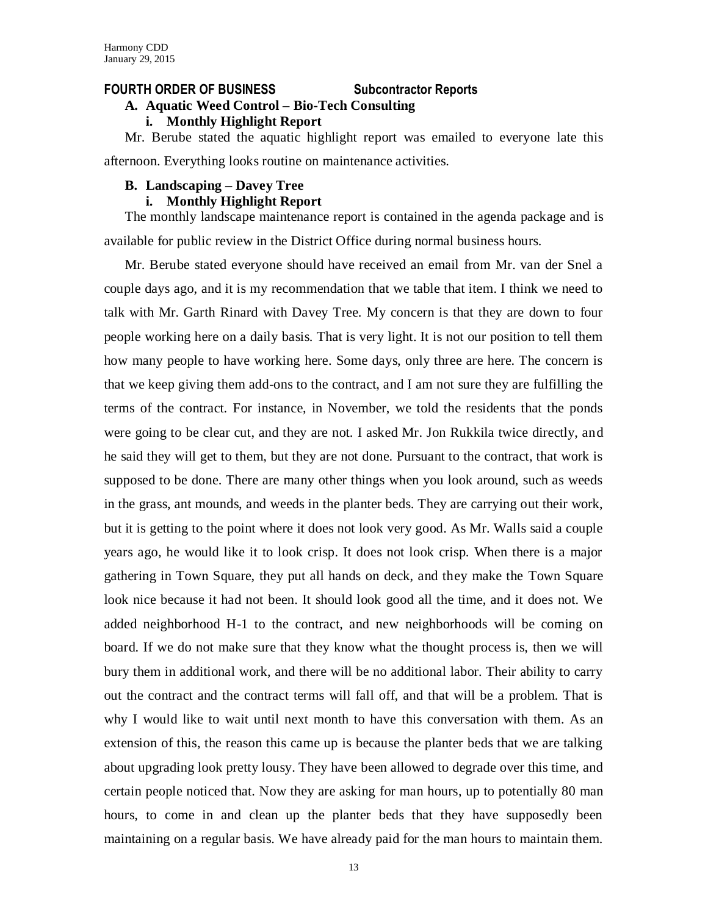#### **FOURTH ORDER OF BUSINESS Subcontractor Reports**

# **A. Aquatic Weed Control – Bio-Tech Consulting**

**i. Monthly Highlight Report**

Mr. Berube stated the aquatic highlight report was emailed to everyone late this afternoon. Everything looks routine on maintenance activities.

# **B. Landscaping – Davey Tree**

# **i. Monthly Highlight Report**

The monthly landscape maintenance report is contained in the agenda package and is available for public review in the District Office during normal business hours.

Mr. Berube stated everyone should have received an email from Mr. van der Snel a couple days ago, and it is my recommendation that we table that item. I think we need to talk with Mr. Garth Rinard with Davey Tree. My concern is that they are down to four people working here on a daily basis. That is very light. It is not our position to tell them how many people to have working here. Some days, only three are here. The concern is that we keep giving them add-ons to the contract, and I am not sure they are fulfilling the terms of the contract. For instance, in November, we told the residents that the ponds were going to be clear cut, and they are not. I asked Mr. Jon Rukkila twice directly, and he said they will get to them, but they are not done. Pursuant to the contract, that work is supposed to be done. There are many other things when you look around, such as weeds in the grass, ant mounds, and weeds in the planter beds. They are carrying out their work, but it is getting to the point where it does not look very good. As Mr. Walls said a couple years ago, he would like it to look crisp. It does not look crisp. When there is a major gathering in Town Square, they put all hands on deck, and they make the Town Square look nice because it had not been. It should look good all the time, and it does not. We added neighborhood H-1 to the contract, and new neighborhoods will be coming on board. If we do not make sure that they know what the thought process is, then we will bury them in additional work, and there will be no additional labor. Their ability to carry out the contract and the contract terms will fall off, and that will be a problem. That is why I would like to wait until next month to have this conversation with them. As an extension of this, the reason this came up is because the planter beds that we are talking about upgrading look pretty lousy. They have been allowed to degrade over this time, and certain people noticed that. Now they are asking for man hours, up to potentially 80 man hours, to come in and clean up the planter beds that they have supposedly been maintaining on a regular basis. We have already paid for the man hours to maintain them.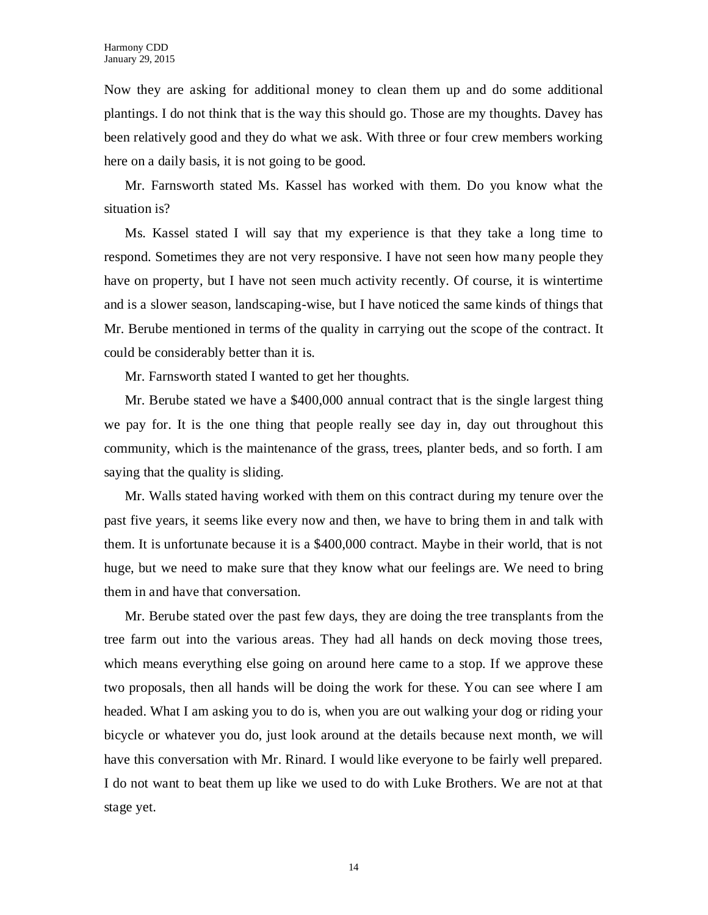Now they are asking for additional money to clean them up and do some additional plantings. I do not think that is the way this should go. Those are my thoughts. Davey has been relatively good and they do what we ask. With three or four crew members working here on a daily basis, it is not going to be good.

Mr. Farnsworth stated Ms. Kassel has worked with them. Do you know what the situation is?

Ms. Kassel stated I will say that my experience is that they take a long time to respond. Sometimes they are not very responsive. I have not seen how many people they have on property, but I have not seen much activity recently. Of course, it is wintertime and is a slower season, landscaping-wise, but I have noticed the same kinds of things that Mr. Berube mentioned in terms of the quality in carrying out the scope of the contract. It could be considerably better than it is.

Mr. Farnsworth stated I wanted to get her thoughts.

Mr. Berube stated we have a \$400,000 annual contract that is the single largest thing we pay for. It is the one thing that people really see day in, day out throughout this community, which is the maintenance of the grass, trees, planter beds, and so forth. I am saying that the quality is sliding.

Mr. Walls stated having worked with them on this contract during my tenure over the past five years, it seems like every now and then, we have to bring them in and talk with them. It is unfortunate because it is a \$400,000 contract. Maybe in their world, that is not huge, but we need to make sure that they know what our feelings are. We need to bring them in and have that conversation.

Mr. Berube stated over the past few days, they are doing the tree transplants from the tree farm out into the various areas. They had all hands on deck moving those trees, which means everything else going on around here came to a stop. If we approve these two proposals, then all hands will be doing the work for these. You can see where I am headed. What I am asking you to do is, when you are out walking your dog or riding your bicycle or whatever you do, just look around at the details because next month, we will have this conversation with Mr. Rinard. I would like everyone to be fairly well prepared. I do not want to beat them up like we used to do with Luke Brothers. We are not at that stage yet.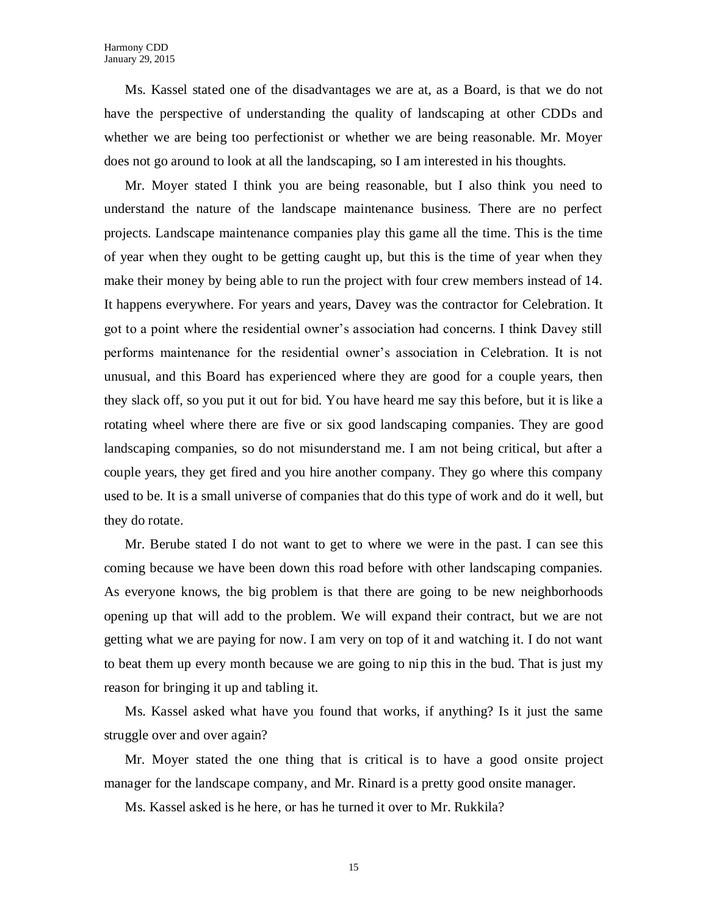Ms. Kassel stated one of the disadvantages we are at, as a Board, is that we do not have the perspective of understanding the quality of landscaping at other CDDs and whether we are being too perfectionist or whether we are being reasonable. Mr. Moyer does not go around to look at all the landscaping, so I am interested in his thoughts.

Mr. Moyer stated I think you are being reasonable, but I also think you need to understand the nature of the landscape maintenance business. There are no perfect projects. Landscape maintenance companies play this game all the time. This is the time of year when they ought to be getting caught up, but this is the time of year when they make their money by being able to run the project with four crew members instead of 14. It happens everywhere. For years and years, Davey was the contractor for Celebration. It got to a point where the residential owner's association had concerns. I think Davey still performs maintenance for the residential owner's association in Celebration. It is not unusual, and this Board has experienced where they are good for a couple years, then they slack off, so you put it out for bid. You have heard me say this before, but it is like a rotating wheel where there are five or six good landscaping companies. They are good landscaping companies, so do not misunderstand me. I am not being critical, but after a couple years, they get fired and you hire another company. They go where this company used to be. It is a small universe of companies that do this type of work and do it well, but they do rotate.

Mr. Berube stated I do not want to get to where we were in the past. I can see this coming because we have been down this road before with other landscaping companies. As everyone knows, the big problem is that there are going to be new neighborhoods opening up that will add to the problem. We will expand their contract, but we are not getting what we are paying for now. I am very on top of it and watching it. I do not want to beat them up every month because we are going to nip this in the bud. That is just my reason for bringing it up and tabling it.

Ms. Kassel asked what have you found that works, if anything? Is it just the same struggle over and over again?

Mr. Moyer stated the one thing that is critical is to have a good onsite project manager for the landscape company, and Mr. Rinard is a pretty good onsite manager.

Ms. Kassel asked is he here, or has he turned it over to Mr. Rukkila?

15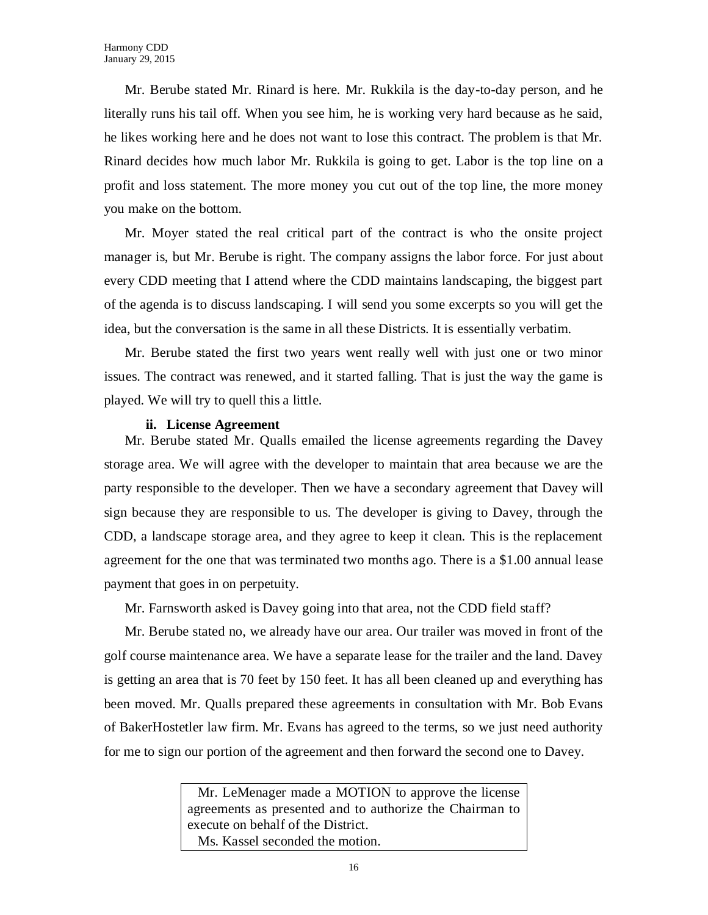Mr. Berube stated Mr. Rinard is here. Mr. Rukkila is the day-to-day person, and he literally runs his tail off. When you see him, he is working very hard because as he said, he likes working here and he does not want to lose this contract. The problem is that Mr. Rinard decides how much labor Mr. Rukkila is going to get. Labor is the top line on a profit and loss statement. The more money you cut out of the top line, the more money you make on the bottom.

Mr. Moyer stated the real critical part of the contract is who the onsite project manager is, but Mr. Berube is right. The company assigns the labor force. For just about every CDD meeting that I attend where the CDD maintains landscaping, the biggest part of the agenda is to discuss landscaping. I will send you some excerpts so you will get the idea, but the conversation is the same in all these Districts. It is essentially verbatim.

Mr. Berube stated the first two years went really well with just one or two minor issues. The contract was renewed, and it started falling. That is just the way the game is played. We will try to quell this a little.

### **ii. License Agreement**

Mr. Berube stated Mr. Qualls emailed the license agreements regarding the Davey storage area. We will agree with the developer to maintain that area because we are the party responsible to the developer. Then we have a secondary agreement that Davey will sign because they are responsible to us. The developer is giving to Davey, through the CDD, a landscape storage area, and they agree to keep it clean. This is the replacement agreement for the one that was terminated two months ago. There is a \$1.00 annual lease payment that goes in on perpetuity.

Mr. Farnsworth asked is Davey going into that area, not the CDD field staff?

Mr. Berube stated no, we already have our area. Our trailer was moved in front of the golf course maintenance area. We have a separate lease for the trailer and the land. Davey is getting an area that is 70 feet by 150 feet. It has all been cleaned up and everything has been moved. Mr. Qualls prepared these agreements in consultation with Mr. Bob Evans of BakerHostetler law firm. Mr. Evans has agreed to the terms, so we just need authority for me to sign our portion of the agreement and then forward the second one to Davey.

> Mr. LeMenager made a MOTION to approve the license agreements as presented and to authorize the Chairman to execute on behalf of the District. Ms. Kassel seconded the motion.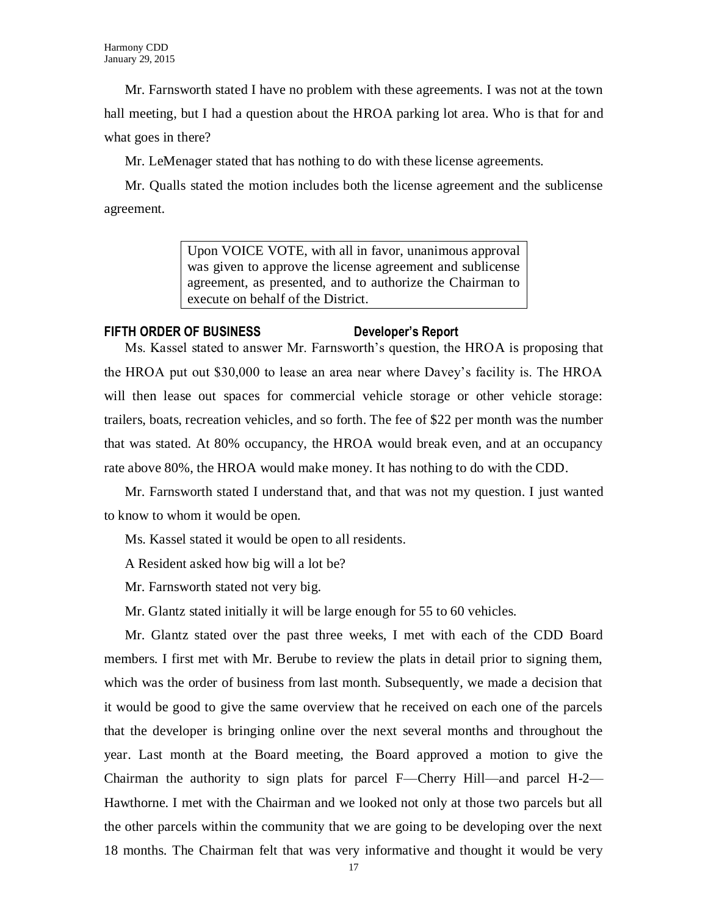Mr. Farnsworth stated I have no problem with these agreements. I was not at the town hall meeting, but I had a question about the HROA parking lot area. Who is that for and what goes in there?

Mr. LeMenager stated that has nothing to do with these license agreements.

Mr. Qualls stated the motion includes both the license agreement and the sublicense agreement.

> Upon VOICE VOTE, with all in favor, unanimous approval was given to approve the license agreement and sublicense agreement, as presented, and to authorize the Chairman to execute on behalf of the District.

# **FIFTH ORDER OF BUSINESS Developer's Report**

Ms. Kassel stated to answer Mr. Farnsworth's question, the HROA is proposing that the HROA put out \$30,000 to lease an area near where Davey's facility is. The HROA will then lease out spaces for commercial vehicle storage or other vehicle storage: trailers, boats, recreation vehicles, and so forth. The fee of \$22 per month was the number that was stated. At 80% occupancy, the HROA would break even, and at an occupancy rate above 80%, the HROA would make money. It has nothing to do with the CDD.

Mr. Farnsworth stated I understand that, and that was not my question. I just wanted to know to whom it would be open.

Ms. Kassel stated it would be open to all residents.

A Resident asked how big will a lot be?

Mr. Farnsworth stated not very big.

Mr. Glantz stated initially it will be large enough for 55 to 60 vehicles.

Mr. Glantz stated over the past three weeks, I met with each of the CDD Board members. I first met with Mr. Berube to review the plats in detail prior to signing them, which was the order of business from last month. Subsequently, we made a decision that it would be good to give the same overview that he received on each one of the parcels that the developer is bringing online over the next several months and throughout the year. Last month at the Board meeting, the Board approved a motion to give the Chairman the authority to sign plats for parcel F—Cherry Hill—and parcel H-2— Hawthorne. I met with the Chairman and we looked not only at those two parcels but all the other parcels within the community that we are going to be developing over the next 18 months. The Chairman felt that was very informative and thought it would be very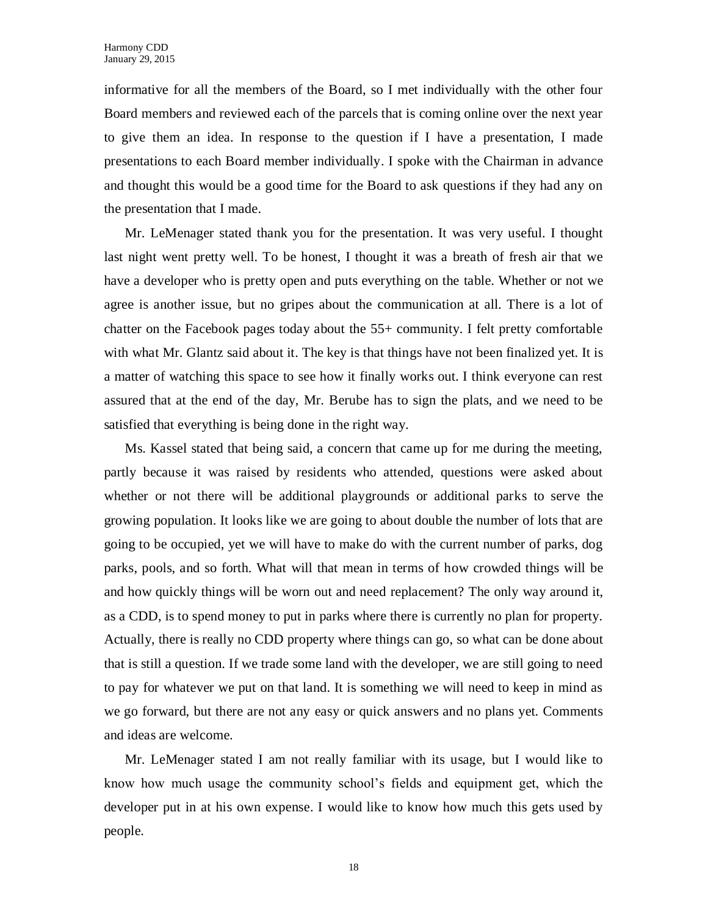informative for all the members of the Board, so I met individually with the other four Board members and reviewed each of the parcels that is coming online over the next year to give them an idea. In response to the question if I have a presentation, I made presentations to each Board member individually. I spoke with the Chairman in advance and thought this would be a good time for the Board to ask questions if they had any on the presentation that I made.

Mr. LeMenager stated thank you for the presentation. It was very useful. I thought last night went pretty well. To be honest, I thought it was a breath of fresh air that we have a developer who is pretty open and puts everything on the table. Whether or not we agree is another issue, but no gripes about the communication at all. There is a lot of chatter on the Facebook pages today about the 55+ community. I felt pretty comfortable with what Mr. Glantz said about it. The key is that things have not been finalized yet. It is a matter of watching this space to see how it finally works out. I think everyone can rest assured that at the end of the day, Mr. Berube has to sign the plats, and we need to be satisfied that everything is being done in the right way.

Ms. Kassel stated that being said, a concern that came up for me during the meeting, partly because it was raised by residents who attended, questions were asked about whether or not there will be additional playgrounds or additional parks to serve the growing population. It looks like we are going to about double the number of lots that are going to be occupied, yet we will have to make do with the current number of parks, dog parks, pools, and so forth. What will that mean in terms of how crowded things will be and how quickly things will be worn out and need replacement? The only way around it, as a CDD, is to spend money to put in parks where there is currently no plan for property. Actually, there is really no CDD property where things can go, so what can be done about that is still a question. If we trade some land with the developer, we are still going to need to pay for whatever we put on that land. It is something we will need to keep in mind as we go forward, but there are not any easy or quick answers and no plans yet. Comments and ideas are welcome.

Mr. LeMenager stated I am not really familiar with its usage, but I would like to know how much usage the community school's fields and equipment get, which the developer put in at his own expense. I would like to know how much this gets used by people.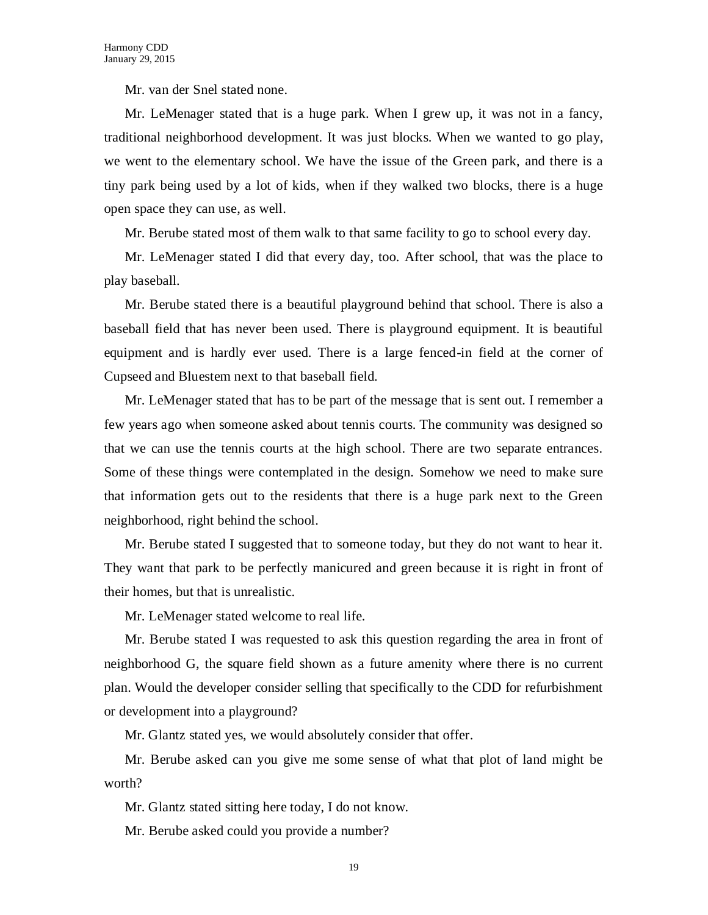Mr. van der Snel stated none.

Mr. LeMenager stated that is a huge park. When I grew up, it was not in a fancy, traditional neighborhood development. It was just blocks. When we wanted to go play, we went to the elementary school. We have the issue of the Green park, and there is a tiny park being used by a lot of kids, when if they walked two blocks, there is a huge open space they can use, as well.

Mr. Berube stated most of them walk to that same facility to go to school every day.

Mr. LeMenager stated I did that every day, too. After school, that was the place to play baseball.

Mr. Berube stated there is a beautiful playground behind that school. There is also a baseball field that has never been used. There is playground equipment. It is beautiful equipment and is hardly ever used. There is a large fenced-in field at the corner of Cupseed and Bluestem next to that baseball field.

Mr. LeMenager stated that has to be part of the message that is sent out. I remember a few years ago when someone asked about tennis courts. The community was designed so that we can use the tennis courts at the high school. There are two separate entrances. Some of these things were contemplated in the design. Somehow we need to make sure that information gets out to the residents that there is a huge park next to the Green neighborhood, right behind the school.

Mr. Berube stated I suggested that to someone today, but they do not want to hear it. They want that park to be perfectly manicured and green because it is right in front of their homes, but that is unrealistic.

Mr. LeMenager stated welcome to real life.

Mr. Berube stated I was requested to ask this question regarding the area in front of neighborhood G, the square field shown as a future amenity where there is no current plan. Would the developer consider selling that specifically to the CDD for refurbishment or development into a playground?

Mr. Glantz stated yes, we would absolutely consider that offer.

Mr. Berube asked can you give me some sense of what that plot of land might be worth?

Mr. Glantz stated sitting here today, I do not know.

Mr. Berube asked could you provide a number?

19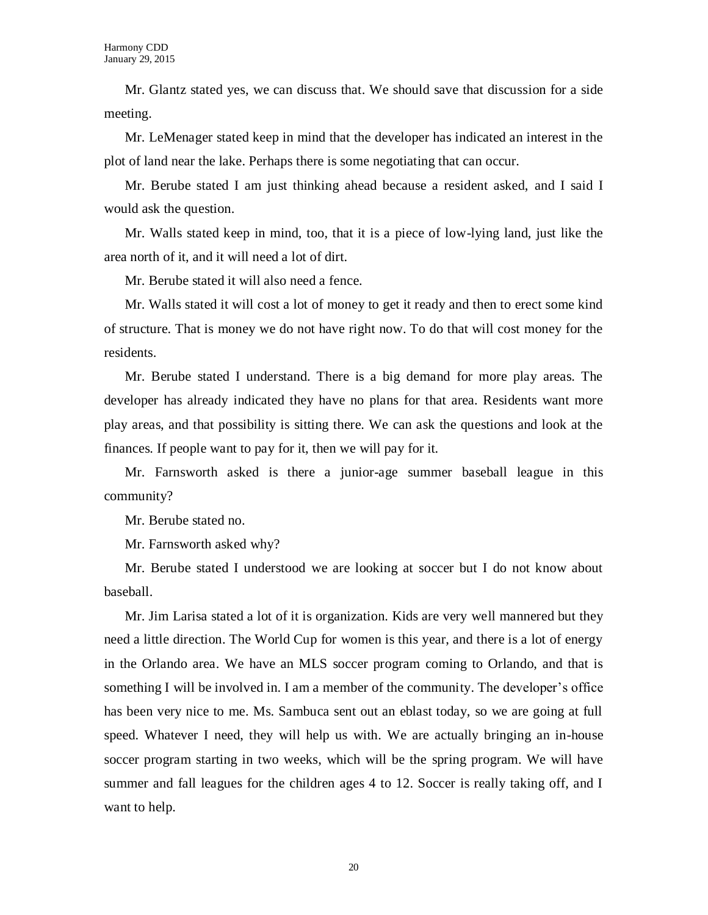Mr. Glantz stated yes, we can discuss that. We should save that discussion for a side meeting.

Mr. LeMenager stated keep in mind that the developer has indicated an interest in the plot of land near the lake. Perhaps there is some negotiating that can occur.

Mr. Berube stated I am just thinking ahead because a resident asked, and I said I would ask the question.

Mr. Walls stated keep in mind, too, that it is a piece of low-lying land, just like the area north of it, and it will need a lot of dirt.

Mr. Berube stated it will also need a fence.

Mr. Walls stated it will cost a lot of money to get it ready and then to erect some kind of structure. That is money we do not have right now. To do that will cost money for the residents.

Mr. Berube stated I understand. There is a big demand for more play areas. The developer has already indicated they have no plans for that area. Residents want more play areas, and that possibility is sitting there. We can ask the questions and look at the finances. If people want to pay for it, then we will pay for it.

Mr. Farnsworth asked is there a junior-age summer baseball league in this community?

Mr. Berube stated no.

Mr. Farnsworth asked why?

Mr. Berube stated I understood we are looking at soccer but I do not know about baseball.

Mr. Jim Larisa stated a lot of it is organization. Kids are very well mannered but they need a little direction. The World Cup for women is this year, and there is a lot of energy in the Orlando area. We have an MLS soccer program coming to Orlando, and that is something I will be involved in. I am a member of the community. The developer's office has been very nice to me. Ms. Sambuca sent out an eblast today, so we are going at full speed. Whatever I need, they will help us with. We are actually bringing an in-house soccer program starting in two weeks, which will be the spring program. We will have summer and fall leagues for the children ages 4 to 12. Soccer is really taking off, and I want to help.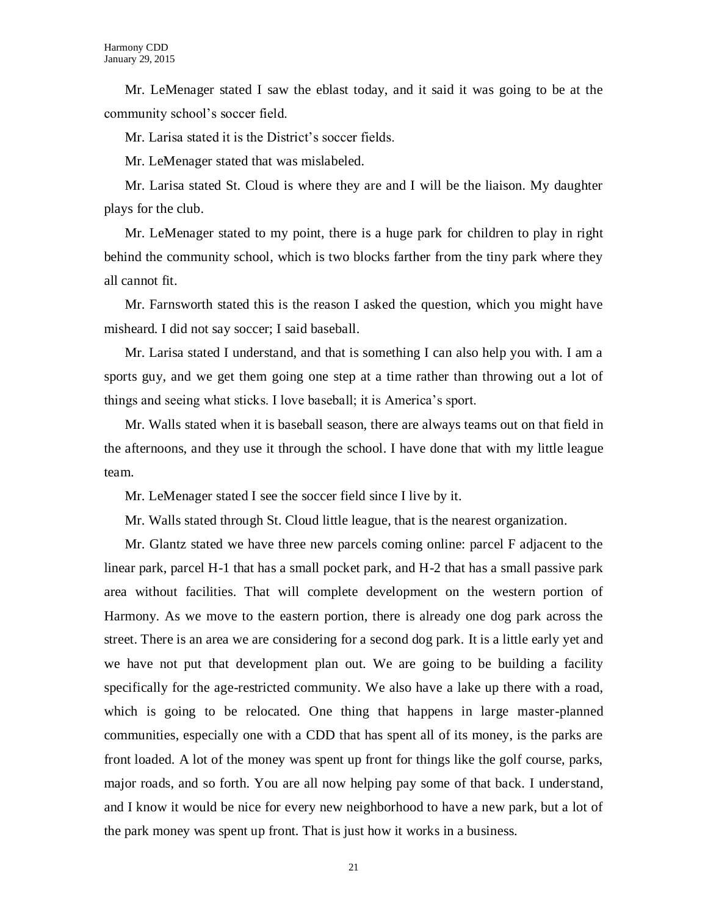Mr. LeMenager stated I saw the eblast today, and it said it was going to be at the community school's soccer field.

Mr. Larisa stated it is the District's soccer fields.

Mr. LeMenager stated that was mislabeled.

Mr. Larisa stated St. Cloud is where they are and I will be the liaison. My daughter plays for the club.

Mr. LeMenager stated to my point, there is a huge park for children to play in right behind the community school, which is two blocks farther from the tiny park where they all cannot fit.

Mr. Farnsworth stated this is the reason I asked the question, which you might have misheard. I did not say soccer; I said baseball.

Mr. Larisa stated I understand, and that is something I can also help you with. I am a sports guy, and we get them going one step at a time rather than throwing out a lot of things and seeing what sticks. I love baseball; it is America's sport.

Mr. Walls stated when it is baseball season, there are always teams out on that field in the afternoons, and they use it through the school. I have done that with my little league team.

Mr. LeMenager stated I see the soccer field since I live by it.

Mr. Walls stated through St. Cloud little league, that is the nearest organization.

Mr. Glantz stated we have three new parcels coming online: parcel F adjacent to the linear park, parcel H-1 that has a small pocket park, and H-2 that has a small passive park area without facilities. That will complete development on the western portion of Harmony. As we move to the eastern portion, there is already one dog park across the street. There is an area we are considering for a second dog park. It is a little early yet and we have not put that development plan out. We are going to be building a facility specifically for the age-restricted community. We also have a lake up there with a road, which is going to be relocated. One thing that happens in large master-planned communities, especially one with a CDD that has spent all of its money, is the parks are front loaded. A lot of the money was spent up front for things like the golf course, parks, major roads, and so forth. You are all now helping pay some of that back. I understand, and I know it would be nice for every new neighborhood to have a new park, but a lot of the park money was spent up front. That is just how it works in a business.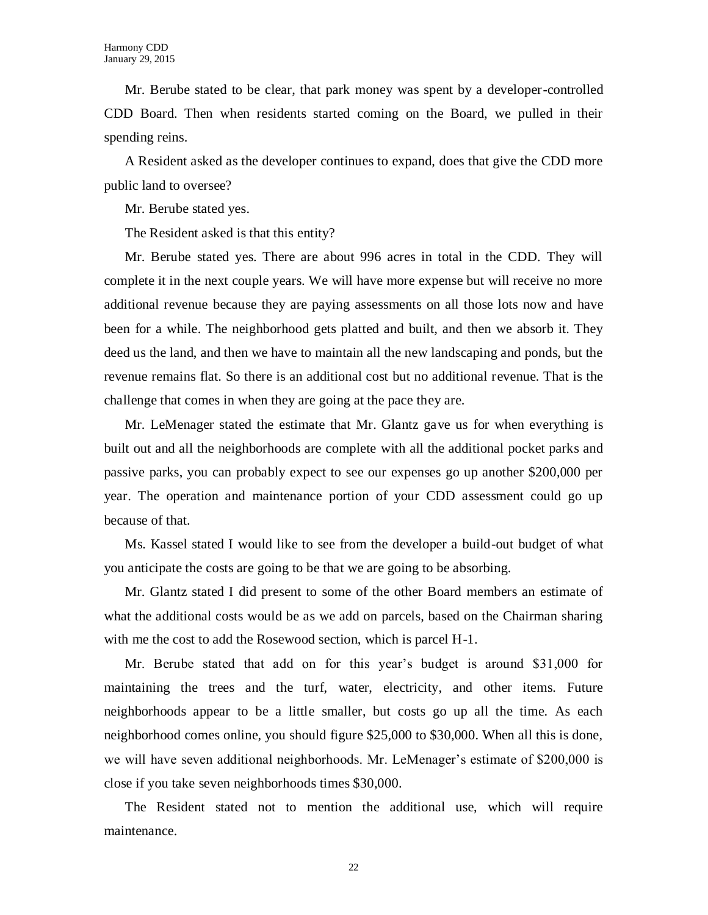Mr. Berube stated to be clear, that park money was spent by a developer-controlled CDD Board. Then when residents started coming on the Board, we pulled in their spending reins.

A Resident asked as the developer continues to expand, does that give the CDD more public land to oversee?

Mr. Berube stated yes.

The Resident asked is that this entity?

Mr. Berube stated yes. There are about 996 acres in total in the CDD. They will complete it in the next couple years. We will have more expense but will receive no more additional revenue because they are paying assessments on all those lots now and have been for a while. The neighborhood gets platted and built, and then we absorb it. They deed us the land, and then we have to maintain all the new landscaping and ponds, but the revenue remains flat. So there is an additional cost but no additional revenue. That is the challenge that comes in when they are going at the pace they are.

Mr. LeMenager stated the estimate that Mr. Glantz gave us for when everything is built out and all the neighborhoods are complete with all the additional pocket parks and passive parks, you can probably expect to see our expenses go up another \$200,000 per year. The operation and maintenance portion of your CDD assessment could go up because of that.

Ms. Kassel stated I would like to see from the developer a build-out budget of what you anticipate the costs are going to be that we are going to be absorbing.

Mr. Glantz stated I did present to some of the other Board members an estimate of what the additional costs would be as we add on parcels, based on the Chairman sharing with me the cost to add the Rosewood section, which is parcel H-1.

Mr. Berube stated that add on for this year's budget is around \$31,000 for maintaining the trees and the turf, water, electricity, and other items. Future neighborhoods appear to be a little smaller, but costs go up all the time. As each neighborhood comes online, you should figure \$25,000 to \$30,000. When all this is done, we will have seven additional neighborhoods. Mr. LeMenager's estimate of \$200,000 is close if you take seven neighborhoods times \$30,000.

The Resident stated not to mention the additional use, which will require maintenance.

22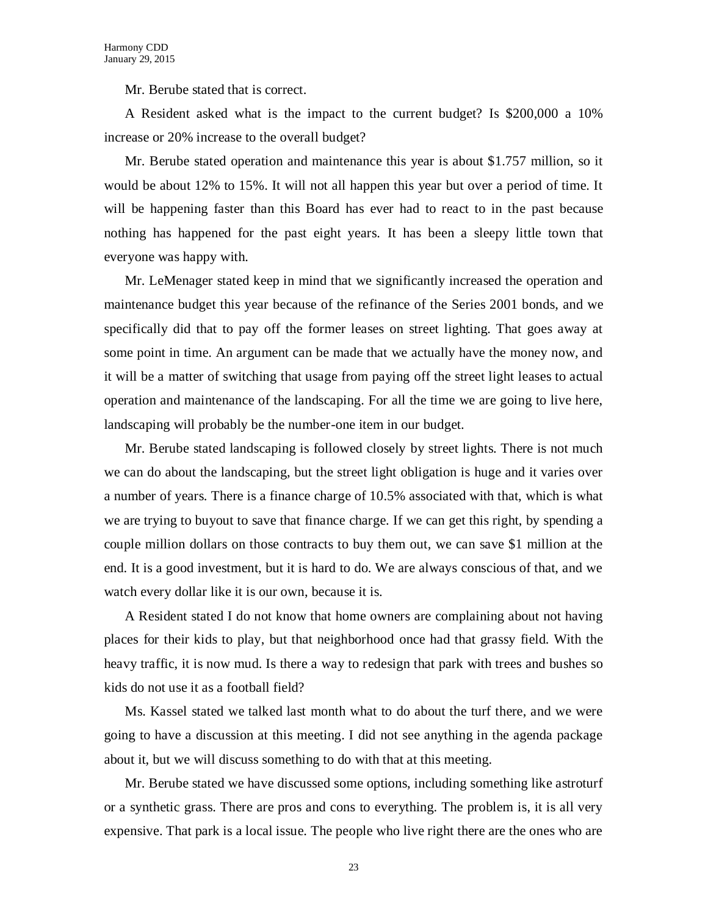Mr. Berube stated that is correct.

A Resident asked what is the impact to the current budget? Is \$200,000 a 10% increase or 20% increase to the overall budget?

Mr. Berube stated operation and maintenance this year is about \$1.757 million, so it would be about 12% to 15%. It will not all happen this year but over a period of time. It will be happening faster than this Board has ever had to react to in the past because nothing has happened for the past eight years. It has been a sleepy little town that everyone was happy with.

Mr. LeMenager stated keep in mind that we significantly increased the operation and maintenance budget this year because of the refinance of the Series 2001 bonds, and we specifically did that to pay off the former leases on street lighting. That goes away at some point in time. An argument can be made that we actually have the money now, and it will be a matter of switching that usage from paying off the street light leases to actual operation and maintenance of the landscaping. For all the time we are going to live here, landscaping will probably be the number-one item in our budget.

Mr. Berube stated landscaping is followed closely by street lights. There is not much we can do about the landscaping, but the street light obligation is huge and it varies over a number of years. There is a finance charge of 10.5% associated with that, which is what we are trying to buyout to save that finance charge. If we can get this right, by spending a couple million dollars on those contracts to buy them out, we can save \$1 million at the end. It is a good investment, but it is hard to do. We are always conscious of that, and we watch every dollar like it is our own, because it is.

A Resident stated I do not know that home owners are complaining about not having places for their kids to play, but that neighborhood once had that grassy field. With the heavy traffic, it is now mud. Is there a way to redesign that park with trees and bushes so kids do not use it as a football field?

Ms. Kassel stated we talked last month what to do about the turf there, and we were going to have a discussion at this meeting. I did not see anything in the agenda package about it, but we will discuss something to do with that at this meeting.

Mr. Berube stated we have discussed some options, including something like astroturf or a synthetic grass. There are pros and cons to everything. The problem is, it is all very expensive. That park is a local issue. The people who live right there are the ones who are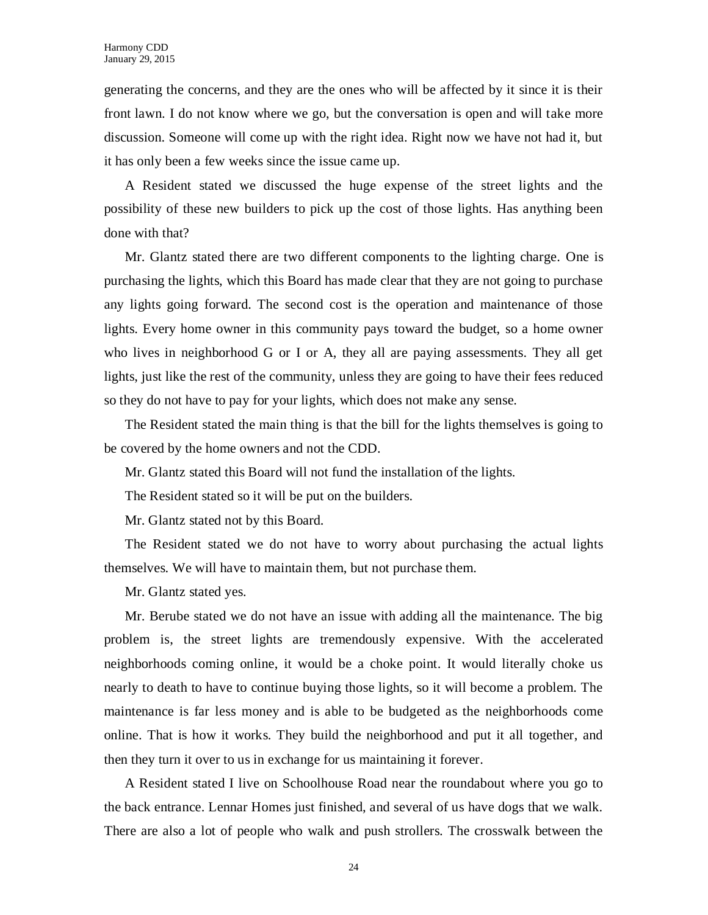generating the concerns, and they are the ones who will be affected by it since it is their front lawn. I do not know where we go, but the conversation is open and will take more discussion. Someone will come up with the right idea. Right now we have not had it, but it has only been a few weeks since the issue came up.

A Resident stated we discussed the huge expense of the street lights and the possibility of these new builders to pick up the cost of those lights. Has anything been done with that?

Mr. Glantz stated there are two different components to the lighting charge. One is purchasing the lights, which this Board has made clear that they are not going to purchase any lights going forward. The second cost is the operation and maintenance of those lights. Every home owner in this community pays toward the budget, so a home owner who lives in neighborhood G or I or A, they all are paying assessments. They all get lights, just like the rest of the community, unless they are going to have their fees reduced so they do not have to pay for your lights, which does not make any sense.

The Resident stated the main thing is that the bill for the lights themselves is going to be covered by the home owners and not the CDD.

Mr. Glantz stated this Board will not fund the installation of the lights.

The Resident stated so it will be put on the builders.

Mr. Glantz stated not by this Board.

The Resident stated we do not have to worry about purchasing the actual lights themselves. We will have to maintain them, but not purchase them.

Mr. Glantz stated yes.

Mr. Berube stated we do not have an issue with adding all the maintenance. The big problem is, the street lights are tremendously expensive. With the accelerated neighborhoods coming online, it would be a choke point. It would literally choke us nearly to death to have to continue buying those lights, so it will become a problem. The maintenance is far less money and is able to be budgeted as the neighborhoods come online. That is how it works. They build the neighborhood and put it all together, and then they turn it over to us in exchange for us maintaining it forever.

A Resident stated I live on Schoolhouse Road near the roundabout where you go to the back entrance. Lennar Homes just finished, and several of us have dogs that we walk. There are also a lot of people who walk and push strollers. The crosswalk between the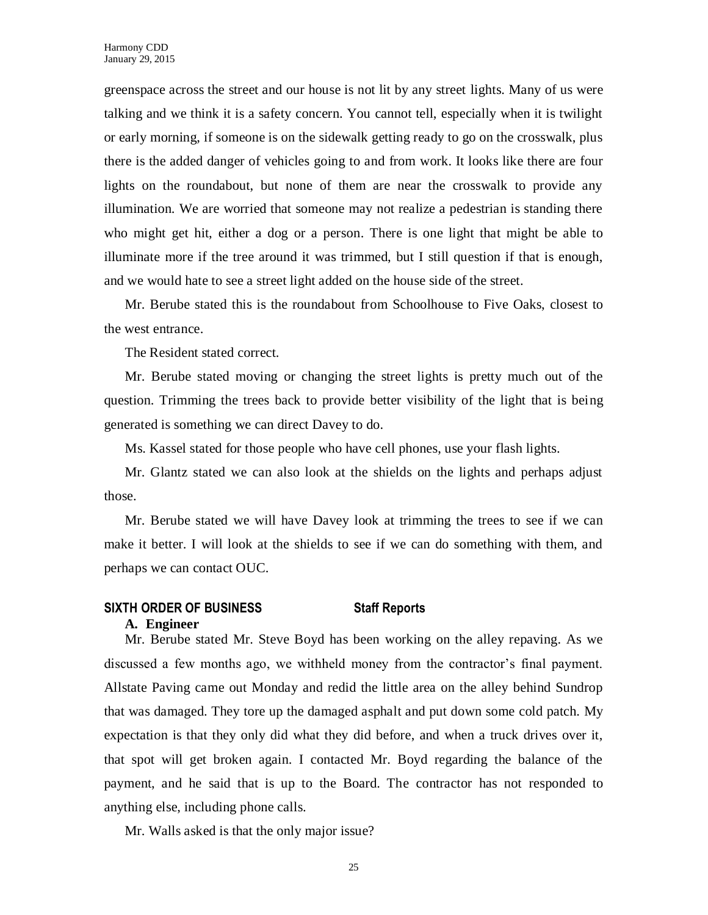greenspace across the street and our house is not lit by any street lights. Many of us were talking and we think it is a safety concern. You cannot tell, especially when it is twilight or early morning, if someone is on the sidewalk getting ready to go on the crosswalk, plus there is the added danger of vehicles going to and from work. It looks like there are four lights on the roundabout, but none of them are near the crosswalk to provide any illumination. We are worried that someone may not realize a pedestrian is standing there who might get hit, either a dog or a person. There is one light that might be able to illuminate more if the tree around it was trimmed, but I still question if that is enough, and we would hate to see a street light added on the house side of the street.

Mr. Berube stated this is the roundabout from Schoolhouse to Five Oaks, closest to the west entrance.

The Resident stated correct.

Mr. Berube stated moving or changing the street lights is pretty much out of the question. Trimming the trees back to provide better visibility of the light that is being generated is something we can direct Davey to do.

Ms. Kassel stated for those people who have cell phones, use your flash lights.

Mr. Glantz stated we can also look at the shields on the lights and perhaps adjust those.

Mr. Berube stated we will have Davey look at trimming the trees to see if we can make it better. I will look at the shields to see if we can do something with them, and perhaps we can contact OUC.

# **SIXTH ORDER OF BUSINESS Staff Reports A. Engineer**

Mr. Berube stated Mr. Steve Boyd has been working on the alley repaving. As we discussed a few months ago, we withheld money from the contractor's final payment. Allstate Paving came out Monday and redid the little area on the alley behind Sundrop that was damaged. They tore up the damaged asphalt and put down some cold patch. My expectation is that they only did what they did before, and when a truck drives over it, that spot will get broken again. I contacted Mr. Boyd regarding the balance of the payment, and he said that is up to the Board. The contractor has not responded to anything else, including phone calls.

Mr. Walls asked is that the only major issue?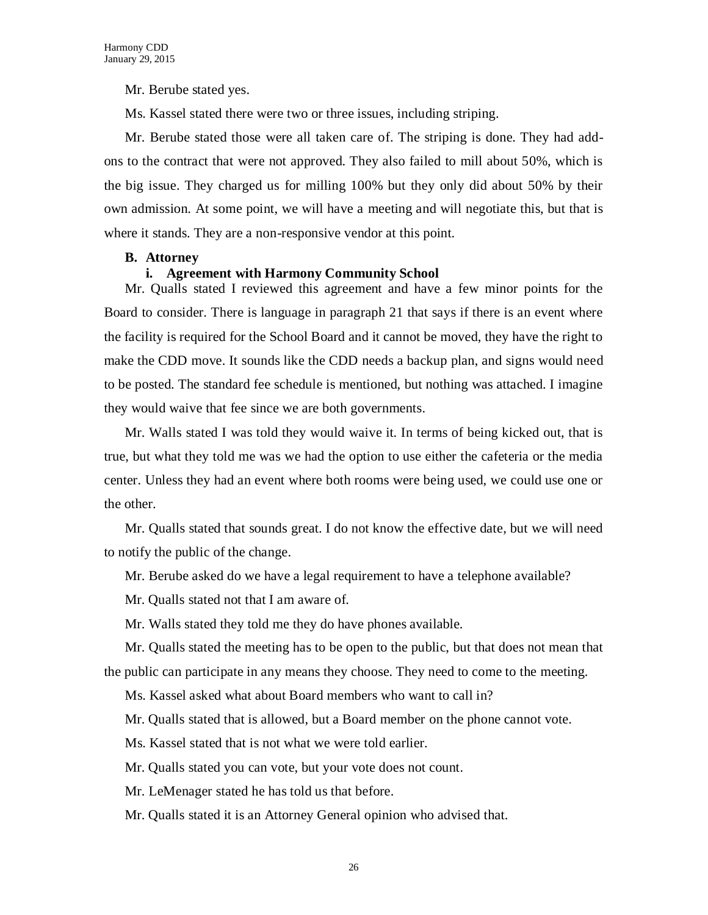Mr. Berube stated yes.

Ms. Kassel stated there were two or three issues, including striping.

Mr. Berube stated those were all taken care of. The striping is done. They had addons to the contract that were not approved. They also failed to mill about 50%, which is the big issue. They charged us for milling 100% but they only did about 50% by their own admission. At some point, we will have a meeting and will negotiate this, but that is where it stands. They are a non-responsive vendor at this point.

### **B. Attorney**

### **i. Agreement with Harmony Community School**

Mr. Qualls stated I reviewed this agreement and have a few minor points for the Board to consider. There is language in paragraph 21 that says if there is an event where the facility is required for the School Board and it cannot be moved, they have the right to make the CDD move. It sounds like the CDD needs a backup plan, and signs would need to be posted. The standard fee schedule is mentioned, but nothing was attached. I imagine they would waive that fee since we are both governments.

Mr. Walls stated I was told they would waive it. In terms of being kicked out, that is true, but what they told me was we had the option to use either the cafeteria or the media center. Unless they had an event where both rooms were being used, we could use one or the other.

Mr. Qualls stated that sounds great. I do not know the effective date, but we will need to notify the public of the change.

Mr. Berube asked do we have a legal requirement to have a telephone available?

Mr. Qualls stated not that I am aware of.

Mr. Walls stated they told me they do have phones available.

Mr. Qualls stated the meeting has to be open to the public, but that does not mean that the public can participate in any means they choose. They need to come to the meeting.

Ms. Kassel asked what about Board members who want to call in?

Mr. Qualls stated that is allowed, but a Board member on the phone cannot vote.

Ms. Kassel stated that is not what we were told earlier.

Mr. Qualls stated you can vote, but your vote does not count.

Mr. LeMenager stated he has told us that before.

Mr. Qualls stated it is an Attorney General opinion who advised that.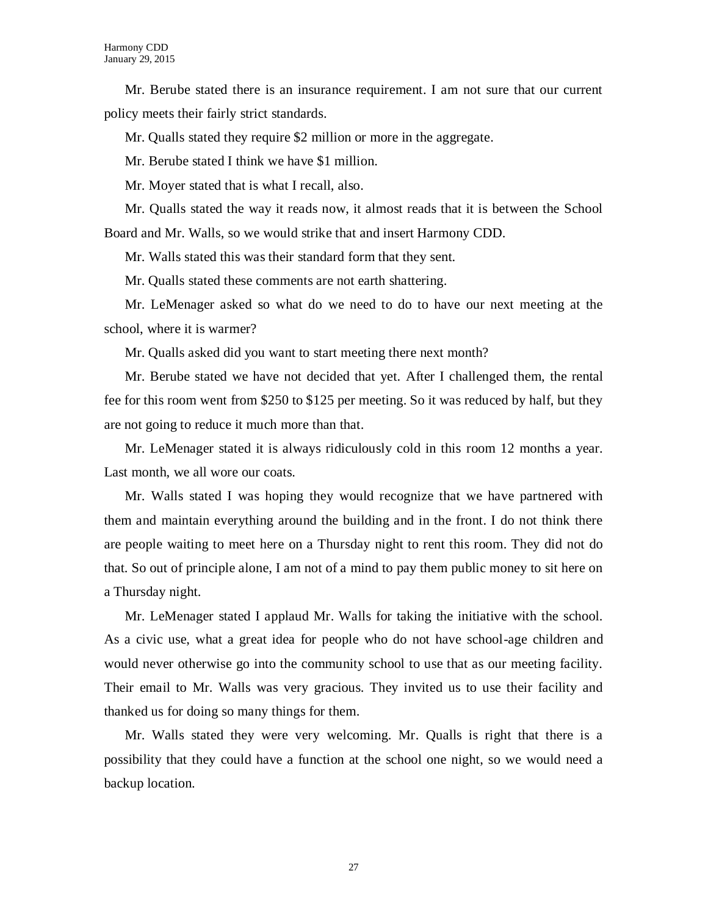Mr. Berube stated there is an insurance requirement. I am not sure that our current policy meets their fairly strict standards.

Mr. Qualls stated they require \$2 million or more in the aggregate.

Mr. Berube stated I think we have \$1 million.

Mr. Moyer stated that is what I recall, also.

Mr. Qualls stated the way it reads now, it almost reads that it is between the School Board and Mr. Walls, so we would strike that and insert Harmony CDD.

Mr. Walls stated this was their standard form that they sent.

Mr. Qualls stated these comments are not earth shattering.

Mr. LeMenager asked so what do we need to do to have our next meeting at the school, where it is warmer?

Mr. Qualls asked did you want to start meeting there next month?

Mr. Berube stated we have not decided that yet. After I challenged them, the rental fee for this room went from \$250 to \$125 per meeting. So it was reduced by half, but they are not going to reduce it much more than that.

Mr. LeMenager stated it is always ridiculously cold in this room 12 months a year. Last month, we all wore our coats.

Mr. Walls stated I was hoping they would recognize that we have partnered with them and maintain everything around the building and in the front. I do not think there are people waiting to meet here on a Thursday night to rent this room. They did not do that. So out of principle alone, I am not of a mind to pay them public money to sit here on a Thursday night.

Mr. LeMenager stated I applaud Mr. Walls for taking the initiative with the school. As a civic use, what a great idea for people who do not have school-age children and would never otherwise go into the community school to use that as our meeting facility. Their email to Mr. Walls was very gracious. They invited us to use their facility and thanked us for doing so many things for them.

Mr. Walls stated they were very welcoming. Mr. Qualls is right that there is a possibility that they could have a function at the school one night, so we would need a backup location.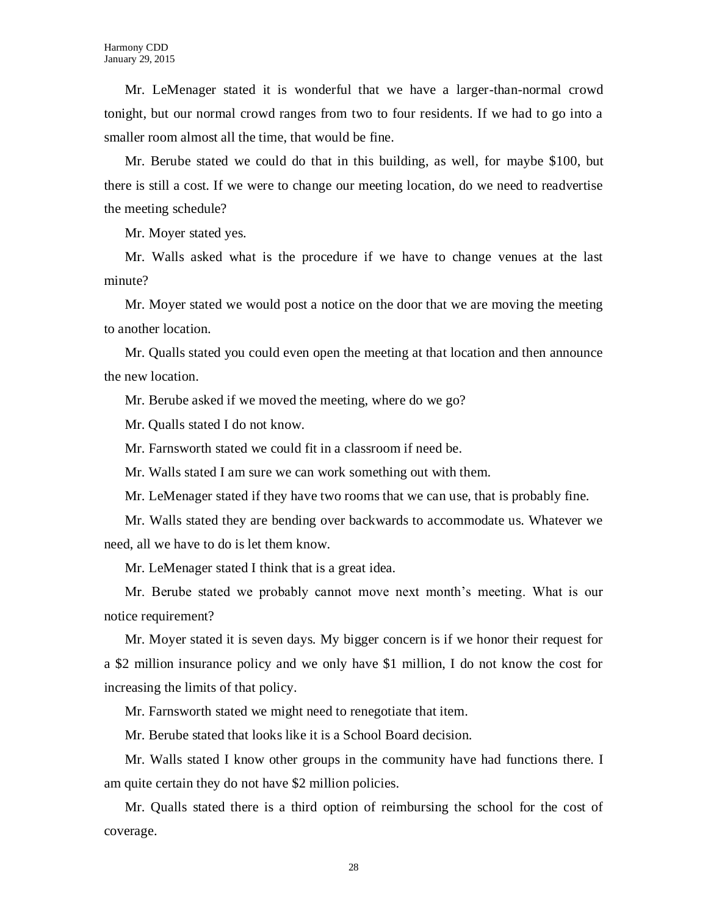Mr. LeMenager stated it is wonderful that we have a larger-than-normal crowd tonight, but our normal crowd ranges from two to four residents. If we had to go into a smaller room almost all the time, that would be fine.

Mr. Berube stated we could do that in this building, as well, for maybe \$100, but there is still a cost. If we were to change our meeting location, do we need to readvertise the meeting schedule?

Mr. Moyer stated yes.

Mr. Walls asked what is the procedure if we have to change venues at the last minute?

Mr. Moyer stated we would post a notice on the door that we are moving the meeting to another location.

Mr. Qualls stated you could even open the meeting at that location and then announce the new location.

Mr. Berube asked if we moved the meeting, where do we go?

Mr. Qualls stated I do not know.

Mr. Farnsworth stated we could fit in a classroom if need be.

Mr. Walls stated I am sure we can work something out with them.

Mr. LeMenager stated if they have two rooms that we can use, that is probably fine.

Mr. Walls stated they are bending over backwards to accommodate us. Whatever we need, all we have to do is let them know.

Mr. LeMenager stated I think that is a great idea.

Mr. Berube stated we probably cannot move next month's meeting. What is our notice requirement?

Mr. Moyer stated it is seven days. My bigger concern is if we honor their request for a \$2 million insurance policy and we only have \$1 million, I do not know the cost for increasing the limits of that policy.

Mr. Farnsworth stated we might need to renegotiate that item.

Mr. Berube stated that looks like it is a School Board decision.

Mr. Walls stated I know other groups in the community have had functions there. I am quite certain they do not have \$2 million policies.

Mr. Qualls stated there is a third option of reimbursing the school for the cost of coverage.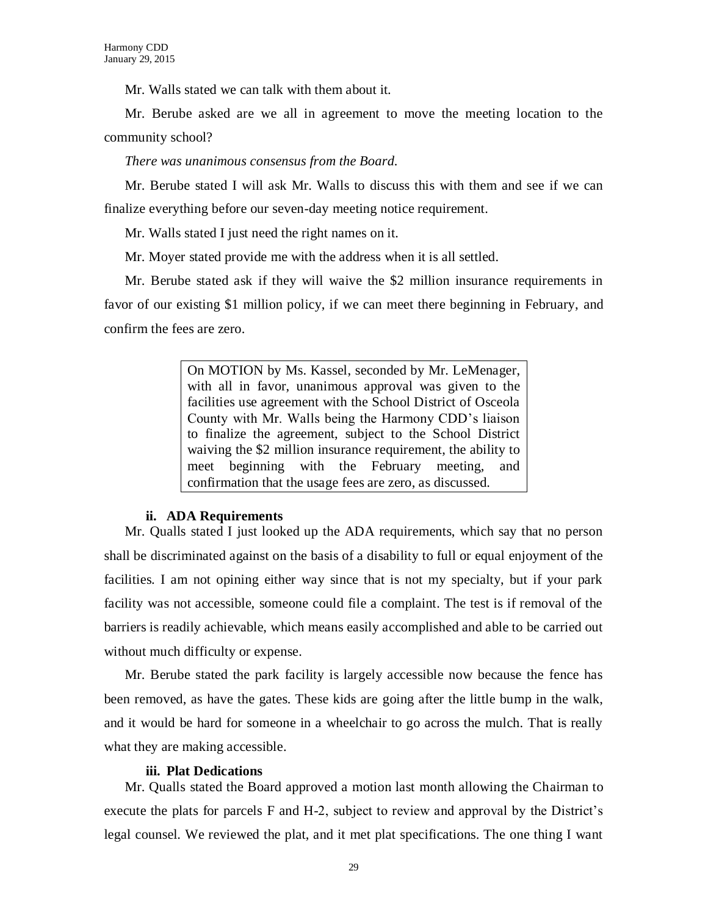Mr. Walls stated we can talk with them about it.

Mr. Berube asked are we all in agreement to move the meeting location to the community school?

*There was unanimous consensus from the Board.*

Mr. Berube stated I will ask Mr. Walls to discuss this with them and see if we can finalize everything before our seven-day meeting notice requirement.

Mr. Walls stated I just need the right names on it.

Mr. Moyer stated provide me with the address when it is all settled.

Mr. Berube stated ask if they will waive the \$2 million insurance requirements in favor of our existing \$1 million policy, if we can meet there beginning in February, and confirm the fees are zero.

> On MOTION by Ms. Kassel, seconded by Mr. LeMenager, with all in favor, unanimous approval was given to the facilities use agreement with the School District of Osceola County with Mr. Walls being the Harmony CDD's liaison to finalize the agreement, subject to the School District waiving the \$2 million insurance requirement, the ability to meet beginning with the February meeting, and confirmation that the usage fees are zero, as discussed.

#### **ii. ADA Requirements**

Mr. Qualls stated I just looked up the ADA requirements, which say that no person shall be discriminated against on the basis of a disability to full or equal enjoyment of the facilities. I am not opining either way since that is not my specialty, but if your park facility was not accessible, someone could file a complaint. The test is if removal of the barriers is readily achievable, which means easily accomplished and able to be carried out without much difficulty or expense.

Mr. Berube stated the park facility is largely accessible now because the fence has been removed, as have the gates. These kids are going after the little bump in the walk, and it would be hard for someone in a wheelchair to go across the mulch. That is really what they are making accessible.

#### **iii. Plat Dedications**

Mr. Qualls stated the Board approved a motion last month allowing the Chairman to execute the plats for parcels F and H-2, subject to review and approval by the District's legal counsel. We reviewed the plat, and it met plat specifications. The one thing I want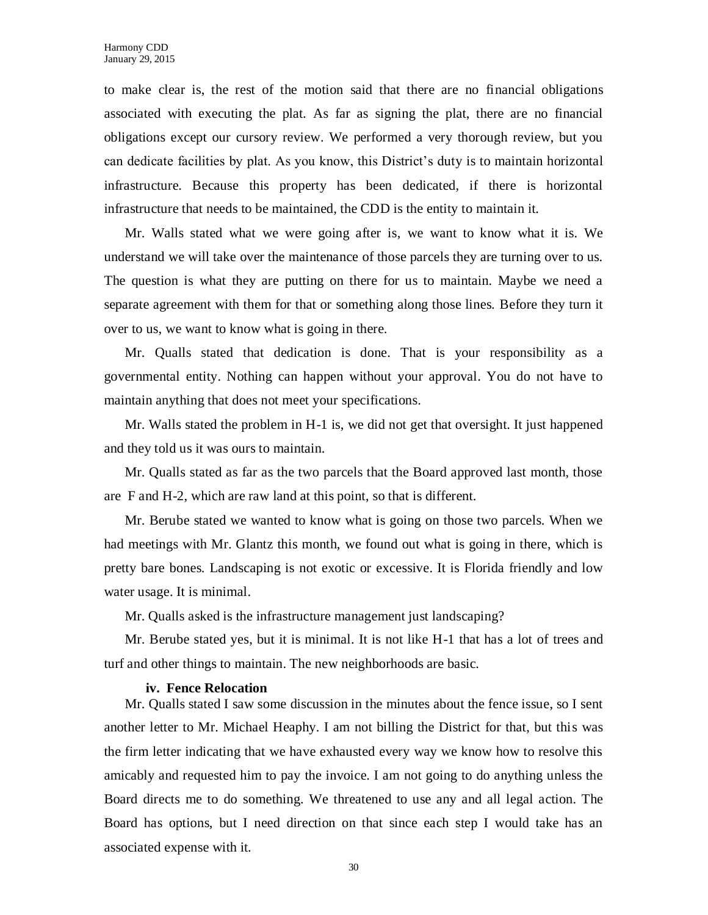to make clear is, the rest of the motion said that there are no financial obligations associated with executing the plat. As far as signing the plat, there are no financial obligations except our cursory review. We performed a very thorough review, but you can dedicate facilities by plat. As you know, this District's duty is to maintain horizontal infrastructure. Because this property has been dedicated, if there is horizontal infrastructure that needs to be maintained, the CDD is the entity to maintain it.

Mr. Walls stated what we were going after is, we want to know what it is. We understand we will take over the maintenance of those parcels they are turning over to us. The question is what they are putting on there for us to maintain. Maybe we need a separate agreement with them for that or something along those lines. Before they turn it over to us, we want to know what is going in there.

Mr. Qualls stated that dedication is done. That is your responsibility as a governmental entity. Nothing can happen without your approval. You do not have to maintain anything that does not meet your specifications.

Mr. Walls stated the problem in H-1 is, we did not get that oversight. It just happened and they told us it was ours to maintain.

Mr. Qualls stated as far as the two parcels that the Board approved last month, those are F and H-2, which are raw land at this point, so that is different.

Mr. Berube stated we wanted to know what is going on those two parcels. When we had meetings with Mr. Glantz this month, we found out what is going in there, which is pretty bare bones. Landscaping is not exotic or excessive. It is Florida friendly and low water usage. It is minimal.

Mr. Qualls asked is the infrastructure management just landscaping?

Mr. Berube stated yes, but it is minimal. It is not like H-1 that has a lot of trees and turf and other things to maintain. The new neighborhoods are basic.

#### **iv. Fence Relocation**

Mr. Qualls stated I saw some discussion in the minutes about the fence issue, so I sent another letter to Mr. Michael Heaphy. I am not billing the District for that, but this was the firm letter indicating that we have exhausted every way we know how to resolve this amicably and requested him to pay the invoice. I am not going to do anything unless the Board directs me to do something. We threatened to use any and all legal action. The Board has options, but I need direction on that since each step I would take has an associated expense with it.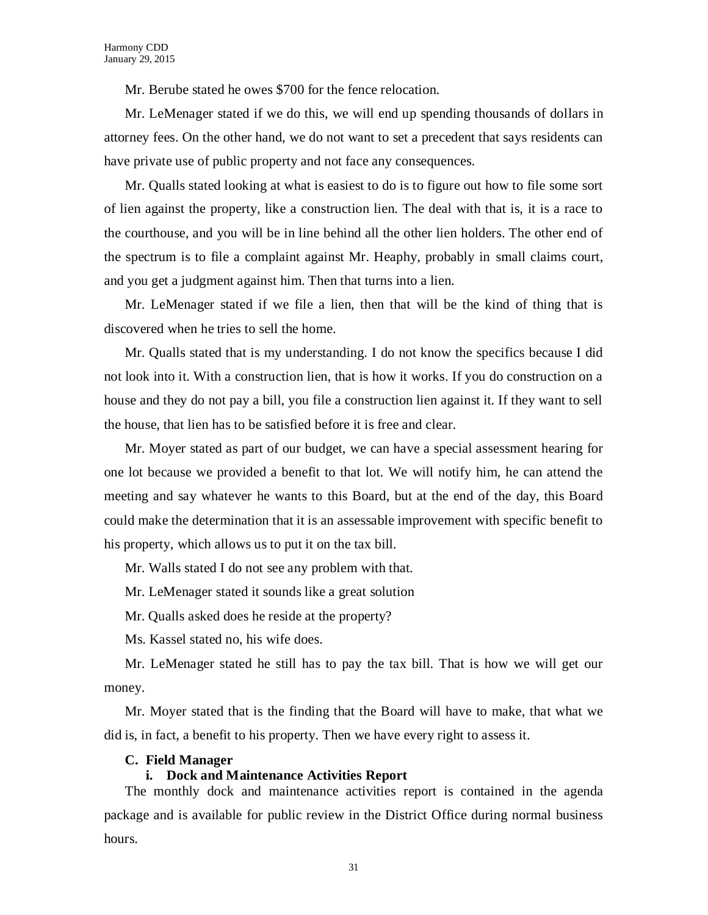Mr. Berube stated he owes \$700 for the fence relocation.

Mr. LeMenager stated if we do this, we will end up spending thousands of dollars in attorney fees. On the other hand, we do not want to set a precedent that says residents can have private use of public property and not face any consequences.

Mr. Qualls stated looking at what is easiest to do is to figure out how to file some sort of lien against the property, like a construction lien. The deal with that is, it is a race to the courthouse, and you will be in line behind all the other lien holders. The other end of the spectrum is to file a complaint against Mr. Heaphy, probably in small claims court, and you get a judgment against him. Then that turns into a lien.

Mr. LeMenager stated if we file a lien, then that will be the kind of thing that is discovered when he tries to sell the home.

Mr. Qualls stated that is my understanding. I do not know the specifics because I did not look into it. With a construction lien, that is how it works. If you do construction on a house and they do not pay a bill, you file a construction lien against it. If they want to sell the house, that lien has to be satisfied before it is free and clear.

Mr. Moyer stated as part of our budget, we can have a special assessment hearing for one lot because we provided a benefit to that lot. We will notify him, he can attend the meeting and say whatever he wants to this Board, but at the end of the day, this Board could make the determination that it is an assessable improvement with specific benefit to his property, which allows us to put it on the tax bill.

Mr. Walls stated I do not see any problem with that.

Mr. LeMenager stated it sounds like a great solution

Mr. Qualls asked does he reside at the property?

Ms. Kassel stated no, his wife does.

Mr. LeMenager stated he still has to pay the tax bill. That is how we will get our money.

Mr. Moyer stated that is the finding that the Board will have to make, that what we did is, in fact, a benefit to his property. Then we have every right to assess it.

#### **C. Field Manager**

### **i. Dock and Maintenance Activities Report**

The monthly dock and maintenance activities report is contained in the agenda package and is available for public review in the District Office during normal business hours.

31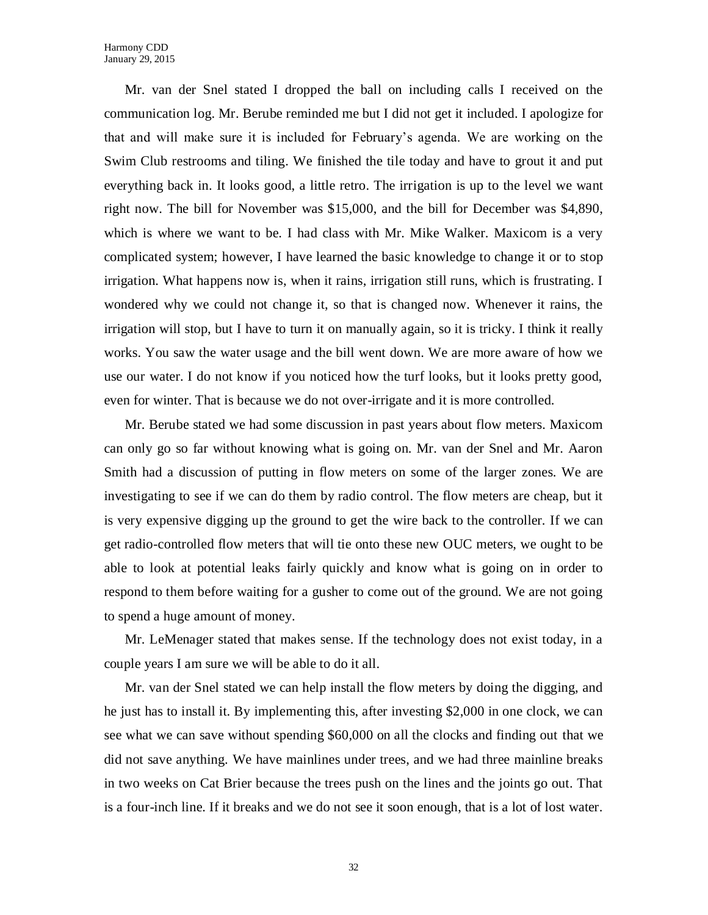Mr. van der Snel stated I dropped the ball on including calls I received on the communication log. Mr. Berube reminded me but I did not get it included. I apologize for that and will make sure it is included for February's agenda. We are working on the Swim Club restrooms and tiling. We finished the tile today and have to grout it and put everything back in. It looks good, a little retro. The irrigation is up to the level we want right now. The bill for November was \$15,000, and the bill for December was \$4,890, which is where we want to be. I had class with Mr. Mike Walker. Maxicom is a very complicated system; however, I have learned the basic knowledge to change it or to stop irrigation. What happens now is, when it rains, irrigation still runs, which is frustrating. I wondered why we could not change it, so that is changed now. Whenever it rains, the irrigation will stop, but I have to turn it on manually again, so it is tricky. I think it really works. You saw the water usage and the bill went down. We are more aware of how we use our water. I do not know if you noticed how the turf looks, but it looks pretty good, even for winter. That is because we do not over-irrigate and it is more controlled.

Mr. Berube stated we had some discussion in past years about flow meters. Maxicom can only go so far without knowing what is going on. Mr. van der Snel and Mr. Aaron Smith had a discussion of putting in flow meters on some of the larger zones. We are investigating to see if we can do them by radio control. The flow meters are cheap, but it is very expensive digging up the ground to get the wire back to the controller. If we can get radio-controlled flow meters that will tie onto these new OUC meters, we ought to be able to look at potential leaks fairly quickly and know what is going on in order to respond to them before waiting for a gusher to come out of the ground. We are not going to spend a huge amount of money.

Mr. LeMenager stated that makes sense. If the technology does not exist today, in a couple years I am sure we will be able to do it all.

Mr. van der Snel stated we can help install the flow meters by doing the digging, and he just has to install it. By implementing this, after investing \$2,000 in one clock, we can see what we can save without spending \$60,000 on all the clocks and finding out that we did not save anything. We have mainlines under trees, and we had three mainline breaks in two weeks on Cat Brier because the trees push on the lines and the joints go out. That is a four-inch line. If it breaks and we do not see it soon enough, that is a lot of lost water.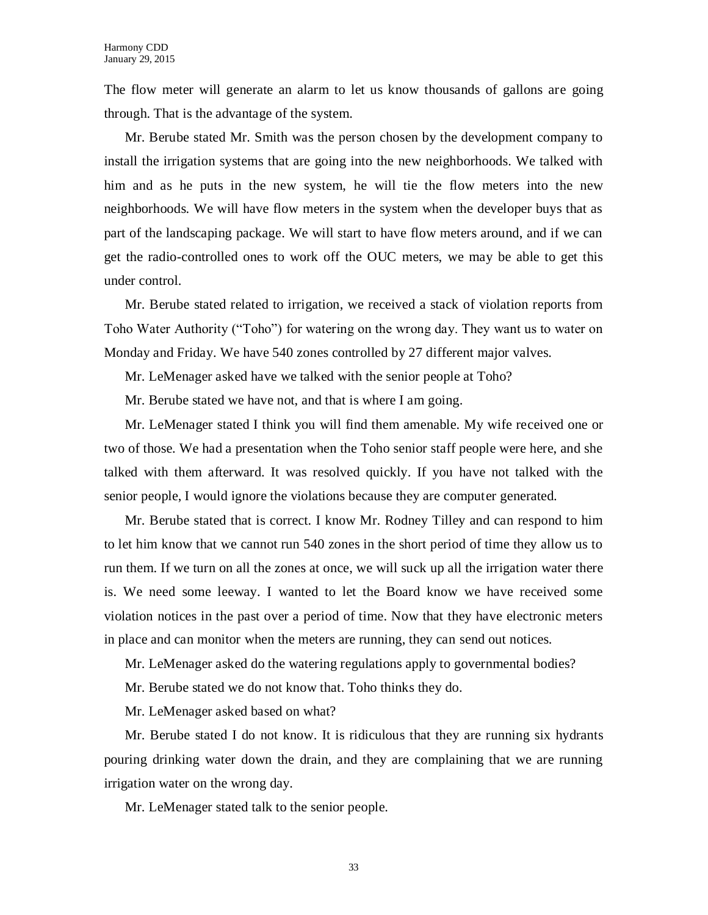The flow meter will generate an alarm to let us know thousands of gallons are going through. That is the advantage of the system.

Mr. Berube stated Mr. Smith was the person chosen by the development company to install the irrigation systems that are going into the new neighborhoods. We talked with him and as he puts in the new system, he will tie the flow meters into the new neighborhoods. We will have flow meters in the system when the developer buys that as part of the landscaping package. We will start to have flow meters around, and if we can get the radio-controlled ones to work off the OUC meters, we may be able to get this under control.

Mr. Berube stated related to irrigation, we received a stack of violation reports from Toho Water Authority ("Toho") for watering on the wrong day. They want us to water on Monday and Friday. We have 540 zones controlled by 27 different major valves.

Mr. LeMenager asked have we talked with the senior people at Toho?

Mr. Berube stated we have not, and that is where I am going.

Mr. LeMenager stated I think you will find them amenable. My wife received one or two of those. We had a presentation when the Toho senior staff people were here, and she talked with them afterward. It was resolved quickly. If you have not talked with the senior people, I would ignore the violations because they are computer generated.

Mr. Berube stated that is correct. I know Mr. Rodney Tilley and can respond to him to let him know that we cannot run 540 zones in the short period of time they allow us to run them. If we turn on all the zones at once, we will suck up all the irrigation water there is. We need some leeway. I wanted to let the Board know we have received some violation notices in the past over a period of time. Now that they have electronic meters in place and can monitor when the meters are running, they can send out notices.

Mr. LeMenager asked do the watering regulations apply to governmental bodies?

Mr. Berube stated we do not know that. Toho thinks they do.

Mr. LeMenager asked based on what?

Mr. Berube stated I do not know. It is ridiculous that they are running six hydrants pouring drinking water down the drain, and they are complaining that we are running irrigation water on the wrong day.

Mr. LeMenager stated talk to the senior people.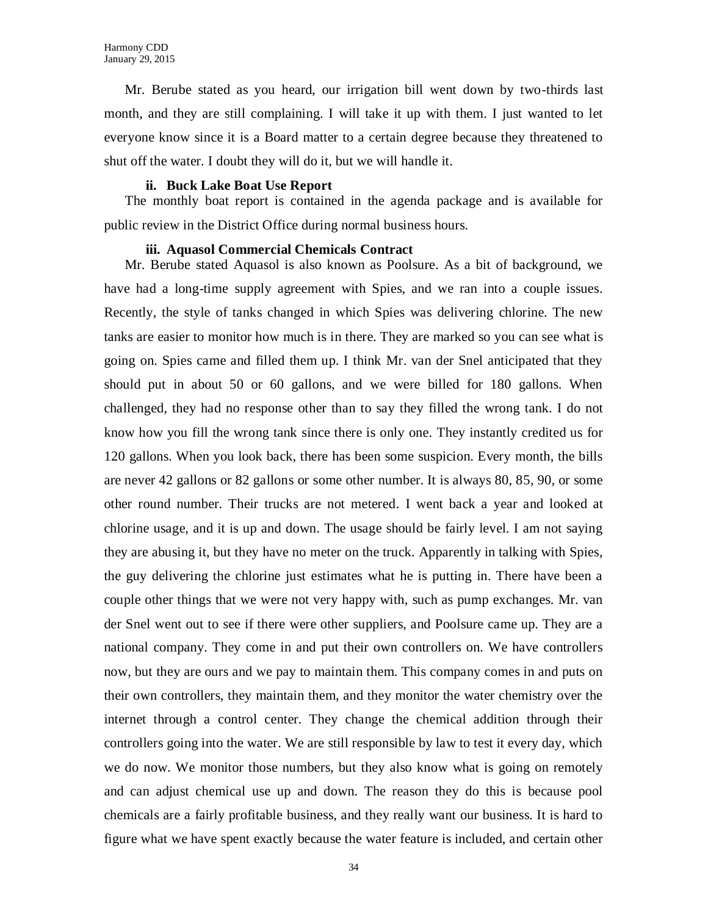Mr. Berube stated as you heard, our irrigation bill went down by two-thirds last month, and they are still complaining. I will take it up with them. I just wanted to let everyone know since it is a Board matter to a certain degree because they threatened to shut off the water. I doubt they will do it, but we will handle it.

#### **ii. Buck Lake Boat Use Report**

The monthly boat report is contained in the agenda package and is available for public review in the District Office during normal business hours.

#### **iii. Aquasol Commercial Chemicals Contract**

Mr. Berube stated Aquasol is also known as Poolsure. As a bit of background, we have had a long-time supply agreement with Spies, and we ran into a couple issues. Recently, the style of tanks changed in which Spies was delivering chlorine. The new tanks are easier to monitor how much is in there. They are marked so you can see what is going on. Spies came and filled them up. I think Mr. van der Snel anticipated that they should put in about 50 or 60 gallons, and we were billed for 180 gallons. When challenged, they had no response other than to say they filled the wrong tank. I do not know how you fill the wrong tank since there is only one. They instantly credited us for 120 gallons. When you look back, there has been some suspicion. Every month, the bills are never 42 gallons or 82 gallons or some other number. It is always 80, 85, 90, or some other round number. Their trucks are not metered. I went back a year and looked at chlorine usage, and it is up and down. The usage should be fairly level. I am not saying they are abusing it, but they have no meter on the truck. Apparently in talking with Spies, the guy delivering the chlorine just estimates what he is putting in. There have been a couple other things that we were not very happy with, such as pump exchanges. Mr. van der Snel went out to see if there were other suppliers, and Poolsure came up. They are a national company. They come in and put their own controllers on. We have controllers now, but they are ours and we pay to maintain them. This company comes in and puts on their own controllers, they maintain them, and they monitor the water chemistry over the internet through a control center. They change the chemical addition through their controllers going into the water. We are still responsible by law to test it every day, which we do now. We monitor those numbers, but they also know what is going on remotely and can adjust chemical use up and down. The reason they do this is because pool chemicals are a fairly profitable business, and they really want our business. It is hard to figure what we have spent exactly because the water feature is included, and certain other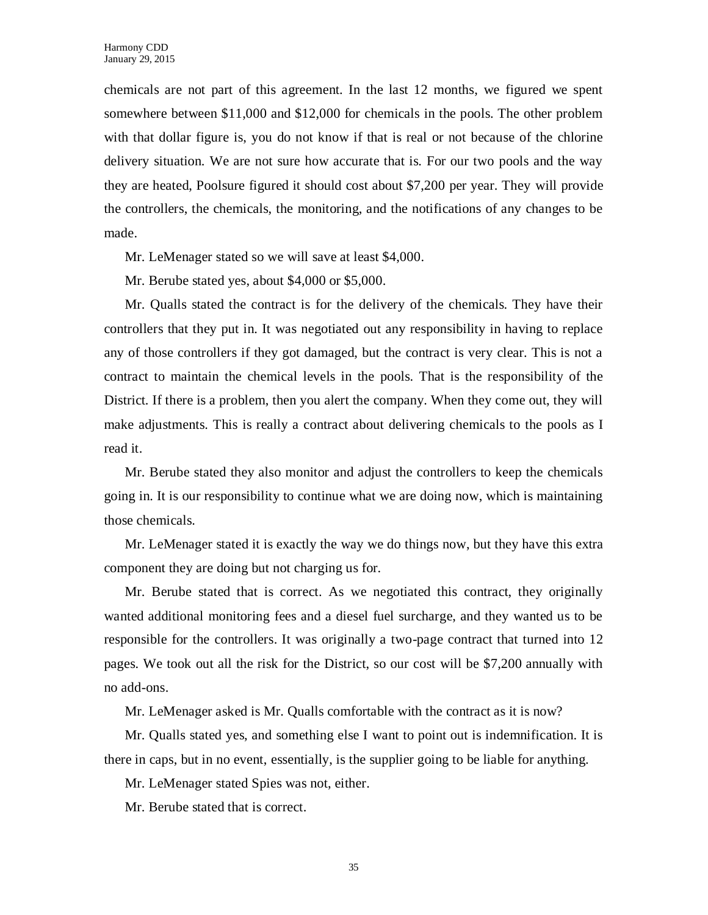chemicals are not part of this agreement. In the last 12 months, we figured we spent somewhere between \$11,000 and \$12,000 for chemicals in the pools. The other problem with that dollar figure is, you do not know if that is real or not because of the chlorine delivery situation. We are not sure how accurate that is. For our two pools and the way they are heated, Poolsure figured it should cost about \$7,200 per year. They will provide the controllers, the chemicals, the monitoring, and the notifications of any changes to be made.

Mr. LeMenager stated so we will save at least \$4,000.

Mr. Berube stated yes, about \$4,000 or \$5,000.

Mr. Qualls stated the contract is for the delivery of the chemicals. They have their controllers that they put in. It was negotiated out any responsibility in having to replace any of those controllers if they got damaged, but the contract is very clear. This is not a contract to maintain the chemical levels in the pools. That is the responsibility of the District. If there is a problem, then you alert the company. When they come out, they will make adjustments. This is really a contract about delivering chemicals to the pools as I read it.

Mr. Berube stated they also monitor and adjust the controllers to keep the chemicals going in. It is our responsibility to continue what we are doing now, which is maintaining those chemicals.

Mr. LeMenager stated it is exactly the way we do things now, but they have this extra component they are doing but not charging us for.

Mr. Berube stated that is correct. As we negotiated this contract, they originally wanted additional monitoring fees and a diesel fuel surcharge, and they wanted us to be responsible for the controllers. It was originally a two-page contract that turned into 12 pages. We took out all the risk for the District, so our cost will be \$7,200 annually with no add-ons.

Mr. LeMenager asked is Mr. Qualls comfortable with the contract as it is now?

Mr. Qualls stated yes, and something else I want to point out is indemnification. It is there in caps, but in no event, essentially, is the supplier going to be liable for anything.

Mr. LeMenager stated Spies was not, either.

Mr. Berube stated that is correct.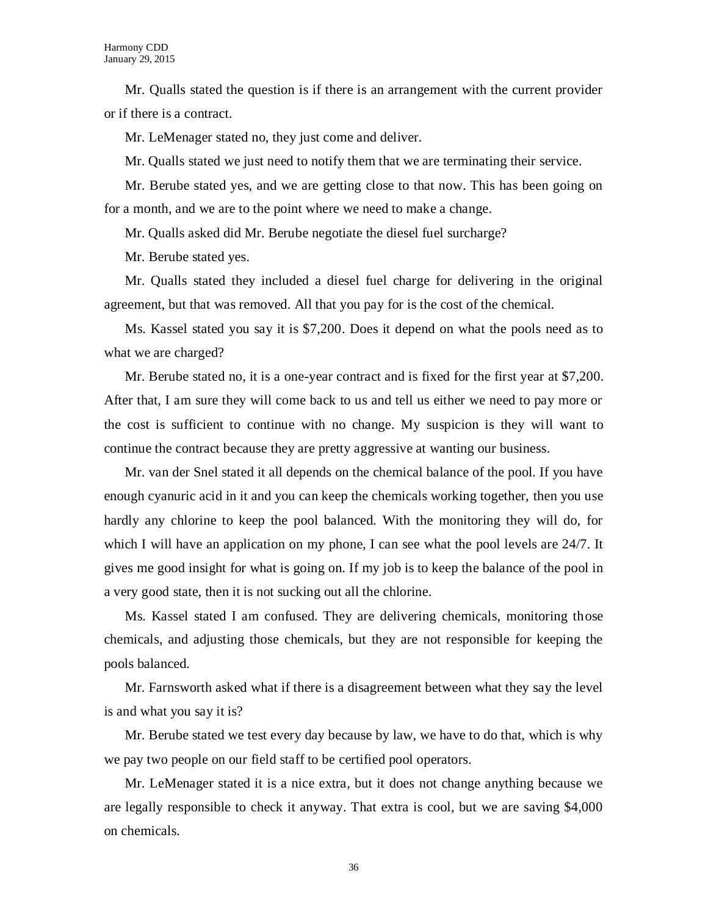Mr. Qualls stated the question is if there is an arrangement with the current provider or if there is a contract.

Mr. LeMenager stated no, they just come and deliver.

Mr. Qualls stated we just need to notify them that we are terminating their service.

Mr. Berube stated yes, and we are getting close to that now. This has been going on for a month, and we are to the point where we need to make a change.

Mr. Qualls asked did Mr. Berube negotiate the diesel fuel surcharge?

Mr. Berube stated yes.

Mr. Qualls stated they included a diesel fuel charge for delivering in the original agreement, but that was removed. All that you pay for is the cost of the chemical.

Ms. Kassel stated you say it is \$7,200. Does it depend on what the pools need as to what we are charged?

Mr. Berube stated no, it is a one-year contract and is fixed for the first year at \$7,200. After that, I am sure they will come back to us and tell us either we need to pay more or the cost is sufficient to continue with no change. My suspicion is they will want to continue the contract because they are pretty aggressive at wanting our business.

Mr. van der Snel stated it all depends on the chemical balance of the pool. If you have enough cyanuric acid in it and you can keep the chemicals working together, then you use hardly any chlorine to keep the pool balanced. With the monitoring they will do, for which I will have an application on my phone, I can see what the pool levels are 24/7. It gives me good insight for what is going on. If my job is to keep the balance of the pool in a very good state, then it is not sucking out all the chlorine.

Ms. Kassel stated I am confused. They are delivering chemicals, monitoring those chemicals, and adjusting those chemicals, but they are not responsible for keeping the pools balanced.

Mr. Farnsworth asked what if there is a disagreement between what they say the level is and what you say it is?

Mr. Berube stated we test every day because by law, we have to do that, which is why we pay two people on our field staff to be certified pool operators.

Mr. LeMenager stated it is a nice extra, but it does not change anything because we are legally responsible to check it anyway. That extra is cool, but we are saving \$4,000 on chemicals.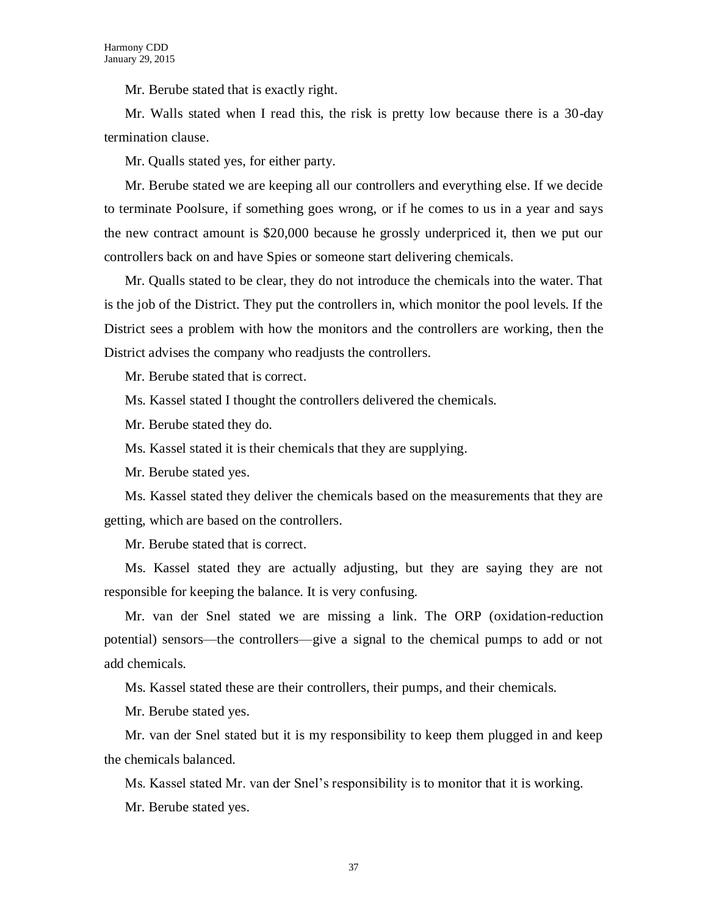Mr. Berube stated that is exactly right.

Mr. Walls stated when I read this, the risk is pretty low because there is a 30-day termination clause.

Mr. Qualls stated yes, for either party.

Mr. Berube stated we are keeping all our controllers and everything else. If we decide to terminate Poolsure, if something goes wrong, or if he comes to us in a year and says the new contract amount is \$20,000 because he grossly underpriced it, then we put our controllers back on and have Spies or someone start delivering chemicals.

Mr. Qualls stated to be clear, they do not introduce the chemicals into the water. That is the job of the District. They put the controllers in, which monitor the pool levels. If the District sees a problem with how the monitors and the controllers are working, then the District advises the company who readjusts the controllers.

Mr. Berube stated that is correct.

Ms. Kassel stated I thought the controllers delivered the chemicals.

Mr. Berube stated they do.

Ms. Kassel stated it is their chemicals that they are supplying.

Mr. Berube stated yes.

Ms. Kassel stated they deliver the chemicals based on the measurements that they are getting, which are based on the controllers.

Mr. Berube stated that is correct.

Ms. Kassel stated they are actually adjusting, but they are saying they are not responsible for keeping the balance. It is very confusing.

Mr. van der Snel stated we are missing a link. The ORP (oxidation-reduction potential) sensors—the controllers—give a signal to the chemical pumps to add or not add chemicals.

Ms. Kassel stated these are their controllers, their pumps, and their chemicals.

Mr. Berube stated yes.

Mr. van der Snel stated but it is my responsibility to keep them plugged in and keep the chemicals balanced.

Ms. Kassel stated Mr. van der Snel's responsibility is to monitor that it is working.

Mr. Berube stated yes.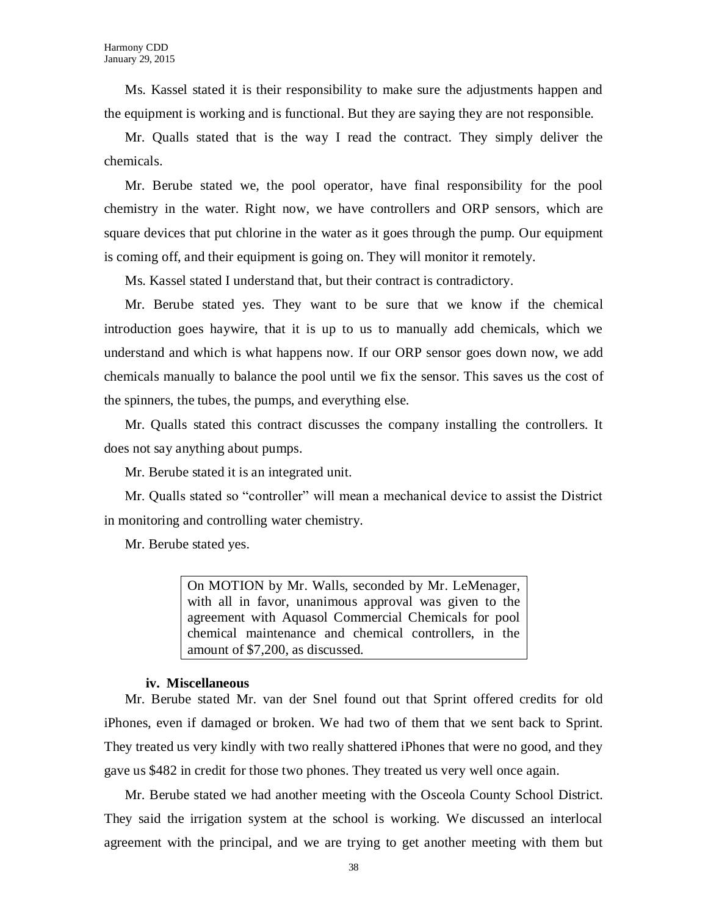Ms. Kassel stated it is their responsibility to make sure the adjustments happen and the equipment is working and is functional. But they are saying they are not responsible.

Mr. Qualls stated that is the way I read the contract. They simply deliver the chemicals.

Mr. Berube stated we, the pool operator, have final responsibility for the pool chemistry in the water. Right now, we have controllers and ORP sensors, which are square devices that put chlorine in the water as it goes through the pump. Our equipment is coming off, and their equipment is going on. They will monitor it remotely.

Ms. Kassel stated I understand that, but their contract is contradictory.

Mr. Berube stated yes. They want to be sure that we know if the chemical introduction goes haywire, that it is up to us to manually add chemicals, which we understand and which is what happens now. If our ORP sensor goes down now, we add chemicals manually to balance the pool until we fix the sensor. This saves us the cost of the spinners, the tubes, the pumps, and everything else.

Mr. Qualls stated this contract discusses the company installing the controllers. It does not say anything about pumps.

Mr. Berube stated it is an integrated unit.

Mr. Qualls stated so "controller" will mean a mechanical device to assist the District in monitoring and controlling water chemistry.

Mr. Berube stated yes.

On MOTION by Mr. Walls, seconded by Mr. LeMenager, with all in favor, unanimous approval was given to the agreement with Aquasol Commercial Chemicals for pool chemical maintenance and chemical controllers, in the amount of \$7,200, as discussed.

#### **iv. Miscellaneous**

Mr. Berube stated Mr. van der Snel found out that Sprint offered credits for old iPhones, even if damaged or broken. We had two of them that we sent back to Sprint. They treated us very kindly with two really shattered iPhones that were no good, and they gave us \$482 in credit for those two phones. They treated us very well once again.

Mr. Berube stated we had another meeting with the Osceola County School District. They said the irrigation system at the school is working. We discussed an interlocal agreement with the principal, and we are trying to get another meeting with them but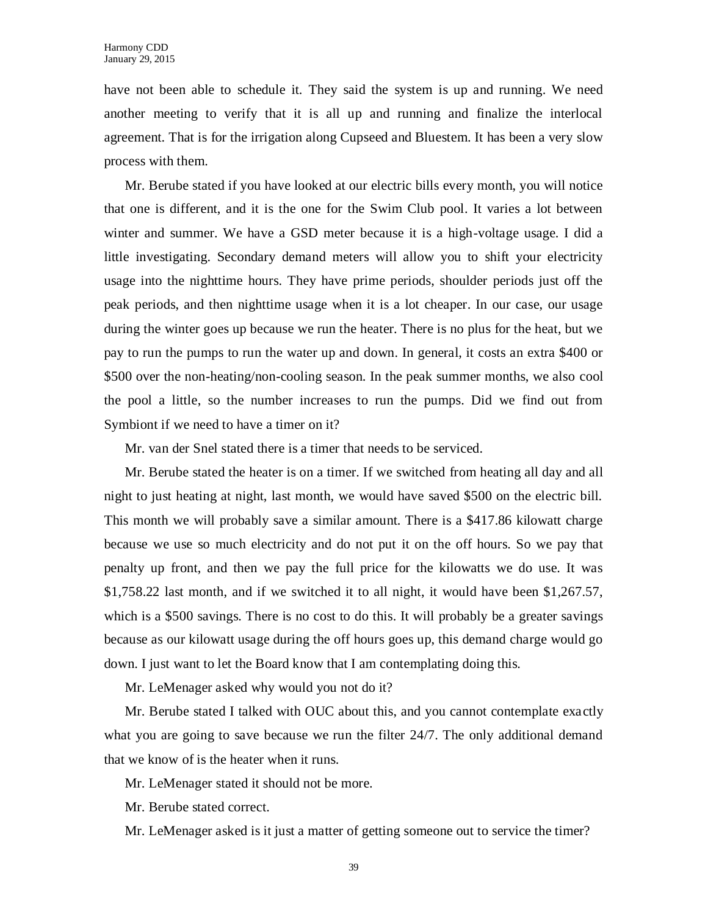have not been able to schedule it. They said the system is up and running. We need another meeting to verify that it is all up and running and finalize the interlocal agreement. That is for the irrigation along Cupseed and Bluestem. It has been a very slow process with them.

Mr. Berube stated if you have looked at our electric bills every month, you will notice that one is different, and it is the one for the Swim Club pool. It varies a lot between winter and summer. We have a GSD meter because it is a high-voltage usage. I did a little investigating. Secondary demand meters will allow you to shift your electricity usage into the nighttime hours. They have prime periods, shoulder periods just off the peak periods, and then nighttime usage when it is a lot cheaper. In our case, our usage during the winter goes up because we run the heater. There is no plus for the heat, but we pay to run the pumps to run the water up and down. In general, it costs an extra \$400 or \$500 over the non-heating/non-cooling season. In the peak summer months, we also cool the pool a little, so the number increases to run the pumps. Did we find out from Symbiont if we need to have a timer on it?

Mr. van der Snel stated there is a timer that needs to be serviced.

Mr. Berube stated the heater is on a timer. If we switched from heating all day and all night to just heating at night, last month, we would have saved \$500 on the electric bill. This month we will probably save a similar amount. There is a \$417.86 kilowatt charge because we use so much electricity and do not put it on the off hours. So we pay that penalty up front, and then we pay the full price for the kilowatts we do use. It was \$1,758.22 last month, and if we switched it to all night, it would have been \$1,267.57, which is a \$500 savings. There is no cost to do this. It will probably be a greater savings because as our kilowatt usage during the off hours goes up, this demand charge would go down. I just want to let the Board know that I am contemplating doing this.

Mr. LeMenager asked why would you not do it?

Mr. Berube stated I talked with OUC about this, and you cannot contemplate exactly what you are going to save because we run the filter 24/7. The only additional demand that we know of is the heater when it runs.

Mr. LeMenager stated it should not be more.

Mr. Berube stated correct.

Mr. LeMenager asked is it just a matter of getting someone out to service the timer?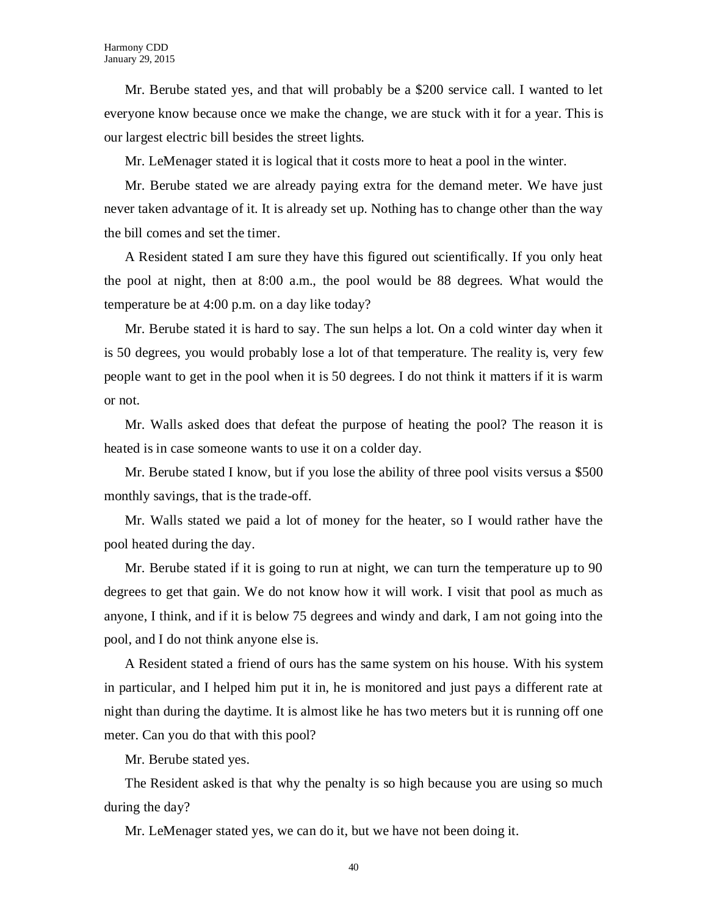Mr. Berube stated yes, and that will probably be a \$200 service call. I wanted to let everyone know because once we make the change, we are stuck with it for a year. This is our largest electric bill besides the street lights.

Mr. LeMenager stated it is logical that it costs more to heat a pool in the winter.

Mr. Berube stated we are already paying extra for the demand meter. We have just never taken advantage of it. It is already set up. Nothing has to change other than the way the bill comes and set the timer.

A Resident stated I am sure they have this figured out scientifically. If you only heat the pool at night, then at 8:00 a.m., the pool would be 88 degrees. What would the temperature be at 4:00 p.m. on a day like today?

Mr. Berube stated it is hard to say. The sun helps a lot. On a cold winter day when it is 50 degrees, you would probably lose a lot of that temperature. The reality is, very few people want to get in the pool when it is 50 degrees. I do not think it matters if it is warm or not.

Mr. Walls asked does that defeat the purpose of heating the pool? The reason it is heated is in case someone wants to use it on a colder day.

Mr. Berube stated I know, but if you lose the ability of three pool visits versus a \$500 monthly savings, that is the trade-off.

Mr. Walls stated we paid a lot of money for the heater, so I would rather have the pool heated during the day.

Mr. Berube stated if it is going to run at night, we can turn the temperature up to 90 degrees to get that gain. We do not know how it will work. I visit that pool as much as anyone, I think, and if it is below 75 degrees and windy and dark, I am not going into the pool, and I do not think anyone else is.

A Resident stated a friend of ours has the same system on his house. With his system in particular, and I helped him put it in, he is monitored and just pays a different rate at night than during the daytime. It is almost like he has two meters but it is running off one meter. Can you do that with this pool?

Mr. Berube stated yes.

The Resident asked is that why the penalty is so high because you are using so much during the day?

Mr. LeMenager stated yes, we can do it, but we have not been doing it.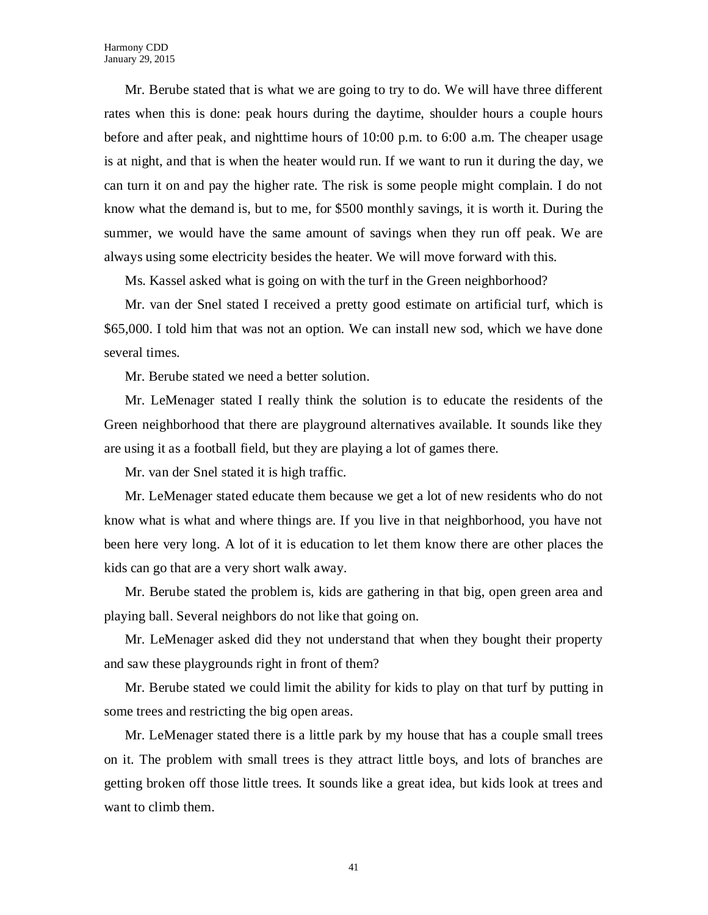Mr. Berube stated that is what we are going to try to do. We will have three different rates when this is done: peak hours during the daytime, shoulder hours a couple hours before and after peak, and nighttime hours of 10:00 p.m. to 6:00 a.m. The cheaper usage is at night, and that is when the heater would run. If we want to run it during the day, we can turn it on and pay the higher rate. The risk is some people might complain. I do not know what the demand is, but to me, for \$500 monthly savings, it is worth it. During the summer, we would have the same amount of savings when they run off peak. We are always using some electricity besides the heater. We will move forward with this.

Ms. Kassel asked what is going on with the turf in the Green neighborhood?

Mr. van der Snel stated I received a pretty good estimate on artificial turf, which is \$65,000. I told him that was not an option. We can install new sod, which we have done several times.

Mr. Berube stated we need a better solution.

Mr. LeMenager stated I really think the solution is to educate the residents of the Green neighborhood that there are playground alternatives available. It sounds like they are using it as a football field, but they are playing a lot of games there.

Mr. van der Snel stated it is high traffic.

Mr. LeMenager stated educate them because we get a lot of new residents who do not know what is what and where things are. If you live in that neighborhood, you have not been here very long. A lot of it is education to let them know there are other places the kids can go that are a very short walk away.

Mr. Berube stated the problem is, kids are gathering in that big, open green area and playing ball. Several neighbors do not like that going on.

Mr. LeMenager asked did they not understand that when they bought their property and saw these playgrounds right in front of them?

Mr. Berube stated we could limit the ability for kids to play on that turf by putting in some trees and restricting the big open areas.

Mr. LeMenager stated there is a little park by my house that has a couple small trees on it. The problem with small trees is they attract little boys, and lots of branches are getting broken off those little trees. It sounds like a great idea, but kids look at trees and want to climb them.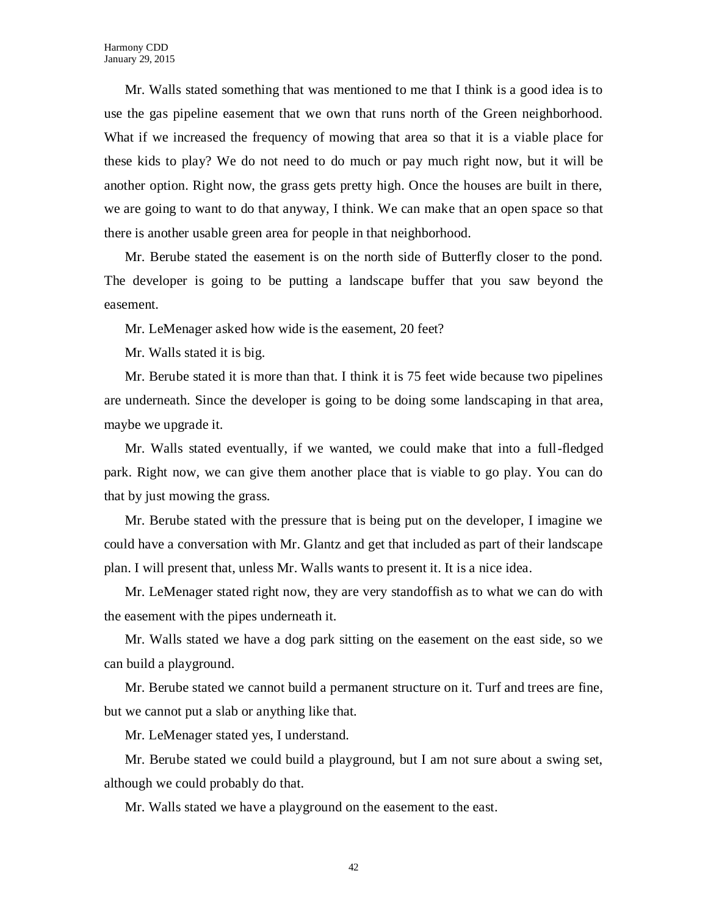Mr. Walls stated something that was mentioned to me that I think is a good idea is to use the gas pipeline easement that we own that runs north of the Green neighborhood. What if we increased the frequency of mowing that area so that it is a viable place for these kids to play? We do not need to do much or pay much right now, but it will be another option. Right now, the grass gets pretty high. Once the houses are built in there, we are going to want to do that anyway, I think. We can make that an open space so that there is another usable green area for people in that neighborhood.

Mr. Berube stated the easement is on the north side of Butterfly closer to the pond. The developer is going to be putting a landscape buffer that you saw beyond the easement.

Mr. LeMenager asked how wide is the easement, 20 feet?

Mr. Walls stated it is big.

Mr. Berube stated it is more than that. I think it is 75 feet wide because two pipelines are underneath. Since the developer is going to be doing some landscaping in that area, maybe we upgrade it.

Mr. Walls stated eventually, if we wanted, we could make that into a full-fledged park. Right now, we can give them another place that is viable to go play. You can do that by just mowing the grass.

Mr. Berube stated with the pressure that is being put on the developer, I imagine we could have a conversation with Mr. Glantz and get that included as part of their landscape plan. I will present that, unless Mr. Walls wants to present it. It is a nice idea.

Mr. LeMenager stated right now, they are very standoffish as to what we can do with the easement with the pipes underneath it.

Mr. Walls stated we have a dog park sitting on the easement on the east side, so we can build a playground.

Mr. Berube stated we cannot build a permanent structure on it. Turf and trees are fine, but we cannot put a slab or anything like that.

Mr. LeMenager stated yes, I understand.

Mr. Berube stated we could build a playground, but I am not sure about a swing set, although we could probably do that.

Mr. Walls stated we have a playground on the easement to the east.

42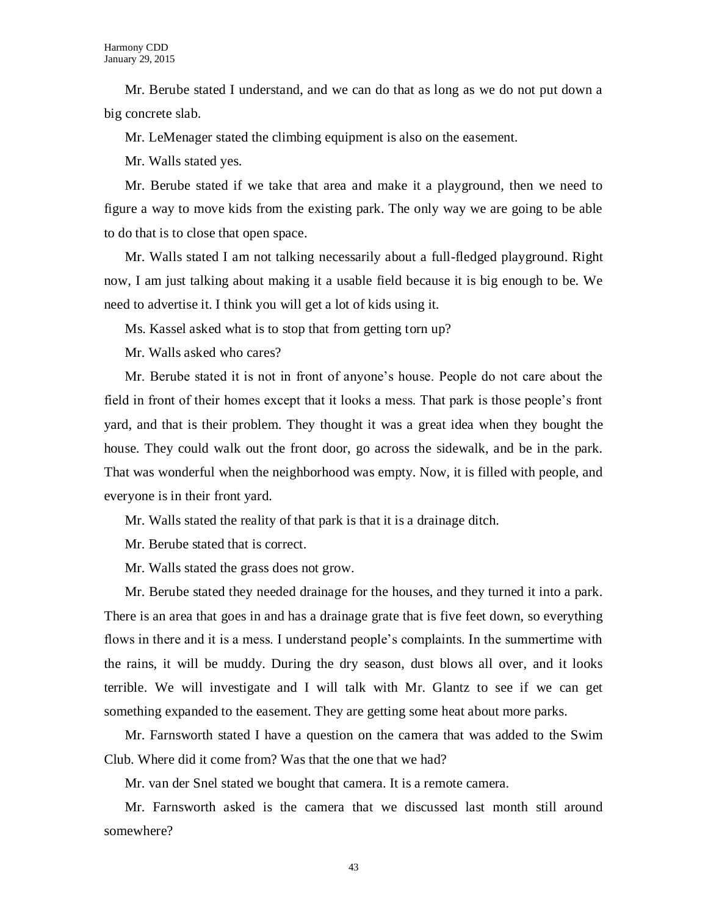Mr. Berube stated I understand, and we can do that as long as we do not put down a big concrete slab.

Mr. LeMenager stated the climbing equipment is also on the easement.

Mr. Walls stated yes.

Mr. Berube stated if we take that area and make it a playground, then we need to figure a way to move kids from the existing park. The only way we are going to be able to do that is to close that open space.

Mr. Walls stated I am not talking necessarily about a full-fledged playground. Right now, I am just talking about making it a usable field because it is big enough to be. We need to advertise it. I think you will get a lot of kids using it.

Ms. Kassel asked what is to stop that from getting torn up?

Mr. Walls asked who cares?

Mr. Berube stated it is not in front of anyone's house. People do not care about the field in front of their homes except that it looks a mess. That park is those people's front yard, and that is their problem. They thought it was a great idea when they bought the house. They could walk out the front door, go across the sidewalk, and be in the park. That was wonderful when the neighborhood was empty. Now, it is filled with people, and everyone is in their front yard.

Mr. Walls stated the reality of that park is that it is a drainage ditch.

Mr. Berube stated that is correct.

Mr. Walls stated the grass does not grow.

Mr. Berube stated they needed drainage for the houses, and they turned it into a park. There is an area that goes in and has a drainage grate that is five feet down, so everything flows in there and it is a mess. I understand people's complaints. In the summertime with the rains, it will be muddy. During the dry season, dust blows all over, and it looks terrible. We will investigate and I will talk with Mr. Glantz to see if we can get something expanded to the easement. They are getting some heat about more parks.

Mr. Farnsworth stated I have a question on the camera that was added to the Swim Club. Where did it come from? Was that the one that we had?

Mr. van der Snel stated we bought that camera. It is a remote camera.

Mr. Farnsworth asked is the camera that we discussed last month still around somewhere?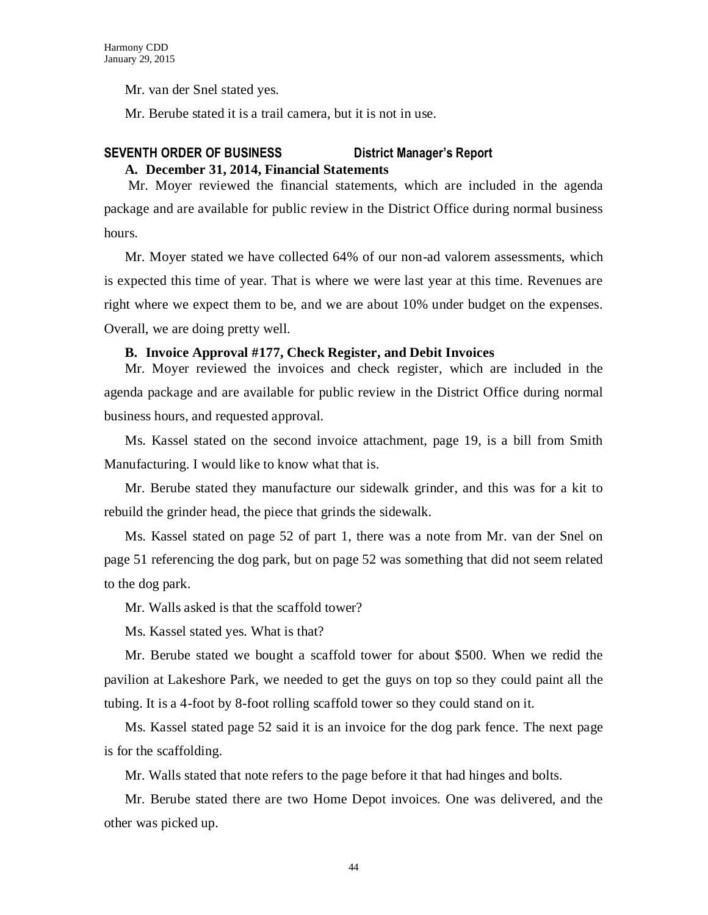Mr. van der Snel stated yes.

Mr. Berube stated it is a trail camera, but it is not in use.

# **SEVENTH ORDER OF BUSINESS District Manager's Report A. December 31, 2014, Financial Statements**

Mr. Moyer reviewed the financial statements, which are included in the agenda package and are available for public review in the District Office during normal business hours.

Mr. Moyer stated we have collected 64% of our non-ad valorem assessments, which is expected this time of year. That is where we were last year at this time. Revenues are right where we expect them to be, and we are about 10% under budget on the expenses. Overall, we are doing pretty well.

### **B. Invoice Approval #177, Check Register, and Debit Invoices**

Mr. Moyer reviewed the invoices and check register, which are included in the agenda package and are available for public review in the District Office during normal business hours, and requested approval.

Ms. Kassel stated on the second invoice attachment, page 19, is a bill from Smith Manufacturing. I would like to know what that is.

Mr. Berube stated they manufacture our sidewalk grinder, and this was for a kit to rebuild the grinder head, the piece that grinds the sidewalk.

Ms. Kassel stated on page 52 of part 1, there was a note from Mr. van der Snel on page 51 referencing the dog park, but on page 52 was something that did not seem related to the dog park.

Mr. Walls asked is that the scaffold tower?

Ms. Kassel stated yes. What is that?

Mr. Berube stated we bought a scaffold tower for about \$500. When we redid the pavilion at Lakeshore Park, we needed to get the guys on top so they could paint all the tubing. It is a 4-foot by 8-foot rolling scaffold tower so they could stand on it.

Ms. Kassel stated page 52 said it is an invoice for the dog park fence. The next page is for the scaffolding.

Mr. Walls stated that note refers to the page before it that had hinges and bolts.

Mr. Berube stated there are two Home Depot invoices. One was delivered, and the other was picked up.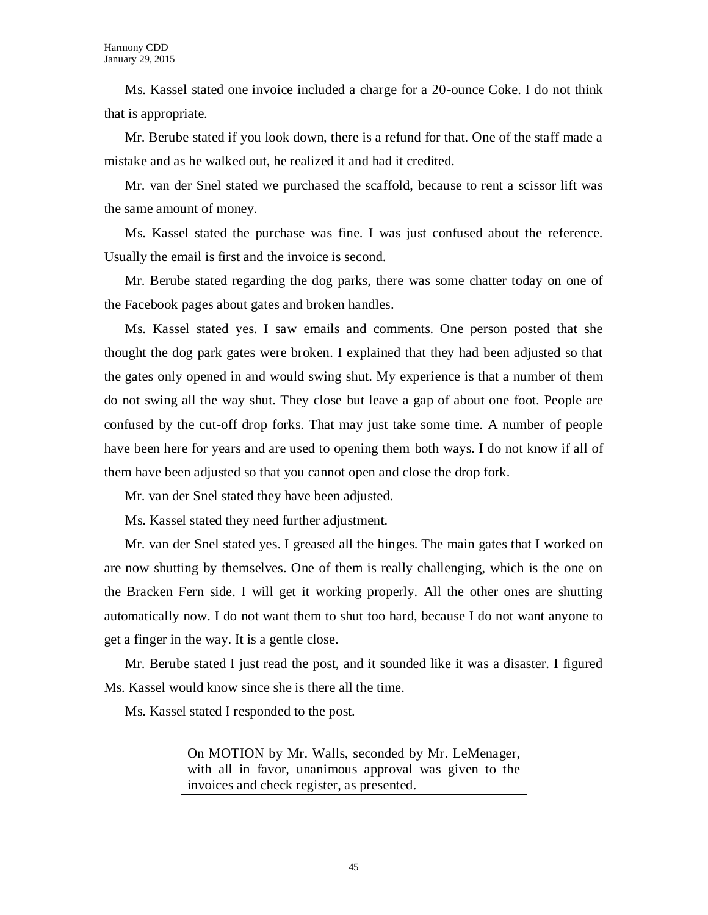Ms. Kassel stated one invoice included a charge for a 20-ounce Coke. I do not think that is appropriate.

Mr. Berube stated if you look down, there is a refund for that. One of the staff made a mistake and as he walked out, he realized it and had it credited.

Mr. van der Snel stated we purchased the scaffold, because to rent a scissor lift was the same amount of money.

Ms. Kassel stated the purchase was fine. I was just confused about the reference. Usually the email is first and the invoice is second.

Mr. Berube stated regarding the dog parks, there was some chatter today on one of the Facebook pages about gates and broken handles.

Ms. Kassel stated yes. I saw emails and comments. One person posted that she thought the dog park gates were broken. I explained that they had been adjusted so that the gates only opened in and would swing shut. My experience is that a number of them do not swing all the way shut. They close but leave a gap of about one foot. People are confused by the cut-off drop forks. That may just take some time. A number of people have been here for years and are used to opening them both ways. I do not know if all of them have been adjusted so that you cannot open and close the drop fork.

Mr. van der Snel stated they have been adjusted.

Ms. Kassel stated they need further adjustment.

Mr. van der Snel stated yes. I greased all the hinges. The main gates that I worked on are now shutting by themselves. One of them is really challenging, which is the one on the Bracken Fern side. I will get it working properly. All the other ones are shutting automatically now. I do not want them to shut too hard, because I do not want anyone to get a finger in the way. It is a gentle close.

Mr. Berube stated I just read the post, and it sounded like it was a disaster. I figured Ms. Kassel would know since she is there all the time.

Ms. Kassel stated I responded to the post.

On MOTION by Mr. Walls, seconded by Mr. LeMenager, with all in favor, unanimous approval was given to the invoices and check register, as presented.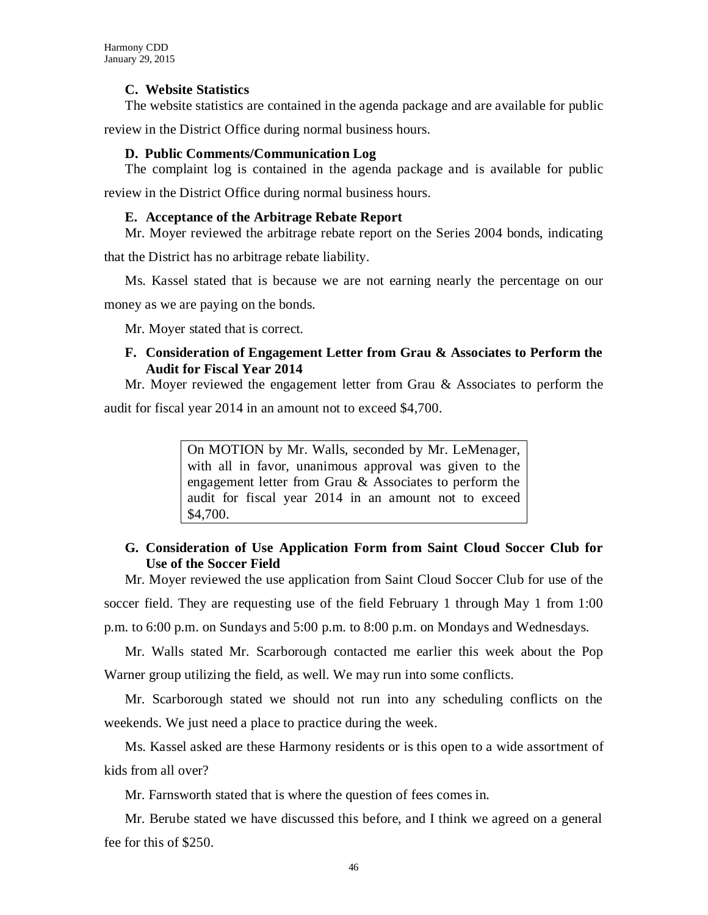# **C. Website Statistics**

The website statistics are contained in the agenda package and are available for public

review in the District Office during normal business hours.

# **D. Public Comments/Communication Log**

The complaint log is contained in the agenda package and is available for public

review in the District Office during normal business hours.

# **E. Acceptance of the Arbitrage Rebate Report**

Mr. Moyer reviewed the arbitrage rebate report on the Series 2004 bonds, indicating

that the District has no arbitrage rebate liability.

Ms. Kassel stated that is because we are not earning nearly the percentage on our

money as we are paying on the bonds.

Mr. Moyer stated that is correct.

# **F. Consideration of Engagement Letter from Grau & Associates to Perform the Audit for Fiscal Year 2014**

Mr. Moyer reviewed the engagement letter from Grau  $\&$  Associates to perform the audit for fiscal year 2014 in an amount not to exceed \$4,700.

> On MOTION by Mr. Walls, seconded by Mr. LeMenager, with all in favor, unanimous approval was given to the engagement letter from Grau & Associates to perform the audit for fiscal year 2014 in an amount not to exceed \$4,700.

# **G. Consideration of Use Application Form from Saint Cloud Soccer Club for Use of the Soccer Field**

Mr. Moyer reviewed the use application from Saint Cloud Soccer Club for use of the soccer field. They are requesting use of the field February 1 through May 1 from 1:00 p.m. to 6:00 p.m. on Sundays and 5:00 p.m. to 8:00 p.m. on Mondays and Wednesdays.

Mr. Walls stated Mr. Scarborough contacted me earlier this week about the Pop Warner group utilizing the field, as well. We may run into some conflicts.

Mr. Scarborough stated we should not run into any scheduling conflicts on the weekends. We just need a place to practice during the week.

Ms. Kassel asked are these Harmony residents or is this open to a wide assortment of kids from all over?

Mr. Farnsworth stated that is where the question of fees comes in.

Mr. Berube stated we have discussed this before, and I think we agreed on a general fee for this of \$250.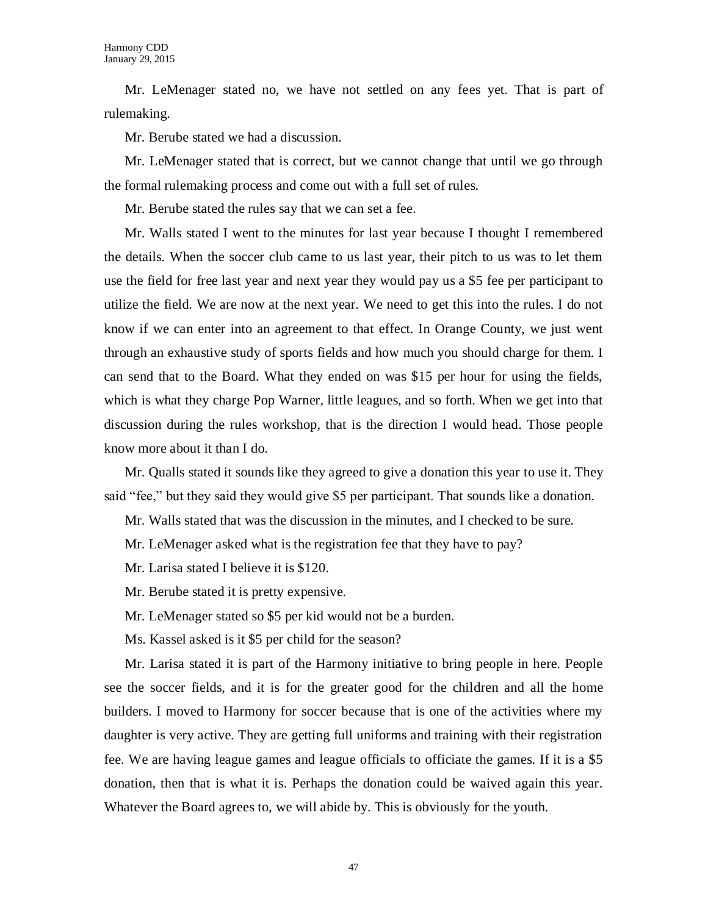Mr. LeMenager stated no, we have not settled on any fees yet. That is part of rulemaking.

Mr. Berube stated we had a discussion.

Mr. LeMenager stated that is correct, but we cannot change that until we go through the formal rulemaking process and come out with a full set of rules.

Mr. Berube stated the rules say that we can set a fee.

Mr. Walls stated I went to the minutes for last year because I thought I remembered the details. When the soccer club came to us last year, their pitch to us was to let them use the field for free last year and next year they would pay us a \$5 fee per participant to utilize the field. We are now at the next year. We need to get this into the rules. I do not know if we can enter into an agreement to that effect. In Orange County, we just went through an exhaustive study of sports fields and how much you should charge for them. I can send that to the Board. What they ended on was \$15 per hour for using the fields, which is what they charge Pop Warner, little leagues, and so forth. When we get into that discussion during the rules workshop, that is the direction I would head. Those people know more about it than I do.

Mr. Qualls stated it sounds like they agreed to give a donation this year to use it. They said "fee," but they said they would give \$5 per participant. That sounds like a donation.

Mr. Walls stated that was the discussion in the minutes, and I checked to be sure.

Mr. LeMenager asked what is the registration fee that they have to pay?

Mr. Larisa stated I believe it is \$120.

Mr. Berube stated it is pretty expensive.

Mr. LeMenager stated so \$5 per kid would not be a burden.

Ms. Kassel asked is it \$5 per child for the season?

Mr. Larisa stated it is part of the Harmony initiative to bring people in here. People see the soccer fields, and it is for the greater good for the children and all the home builders. I moved to Harmony for soccer because that is one of the activities where my daughter is very active. They are getting full uniforms and training with their registration fee. We are having league games and league officials to officiate the games. If it is a \$5 donation, then that is what it is. Perhaps the donation could be waived again this year. Whatever the Board agrees to, we will abide by. This is obviously for the youth.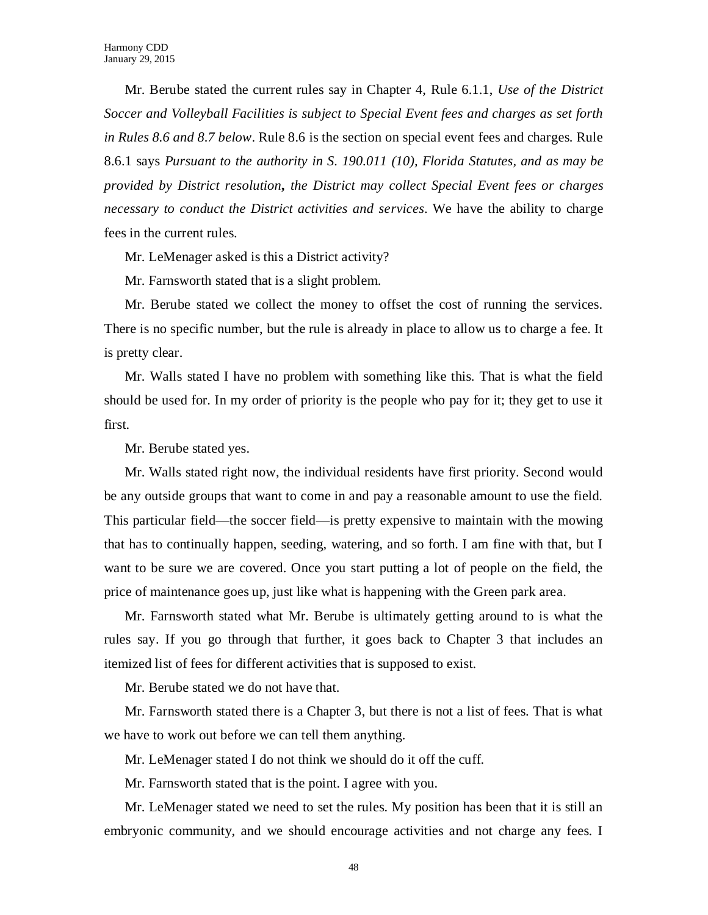Mr. Berube stated the current rules say in Chapter 4, Rule 6.1.1, *Use of the District Soccer and Volleyball Facilities is subject to Special Event fees and charges as set forth in Rules 8.6 and 8.7 below*. Rule 8.6 is the section on special event fees and charges. Rule 8.6.1 says *Pursuant to the authority in S. 190.011 (10), Florida Statutes, and as may be provided by District resolution, the District may collect Special Event fees or charges necessary to conduct the District activities and services*. We have the ability to charge fees in the current rules.

Mr. LeMenager asked is this a District activity?

Mr. Farnsworth stated that is a slight problem.

Mr. Berube stated we collect the money to offset the cost of running the services. There is no specific number, but the rule is already in place to allow us to charge a fee. It is pretty clear.

Mr. Walls stated I have no problem with something like this. That is what the field should be used for. In my order of priority is the people who pay for it; they get to use it first.

Mr. Berube stated yes.

Mr. Walls stated right now, the individual residents have first priority. Second would be any outside groups that want to come in and pay a reasonable amount to use the field. This particular field—the soccer field—is pretty expensive to maintain with the mowing that has to continually happen, seeding, watering, and so forth. I am fine with that, but I want to be sure we are covered. Once you start putting a lot of people on the field, the price of maintenance goes up, just like what is happening with the Green park area.

Mr. Farnsworth stated what Mr. Berube is ultimately getting around to is what the rules say. If you go through that further, it goes back to Chapter 3 that includes an itemized list of fees for different activities that is supposed to exist.

Mr. Berube stated we do not have that.

Mr. Farnsworth stated there is a Chapter 3, but there is not a list of fees. That is what we have to work out before we can tell them anything.

Mr. LeMenager stated I do not think we should do it off the cuff.

Mr. Farnsworth stated that is the point. I agree with you.

Mr. LeMenager stated we need to set the rules. My position has been that it is still an embryonic community, and we should encourage activities and not charge any fees. I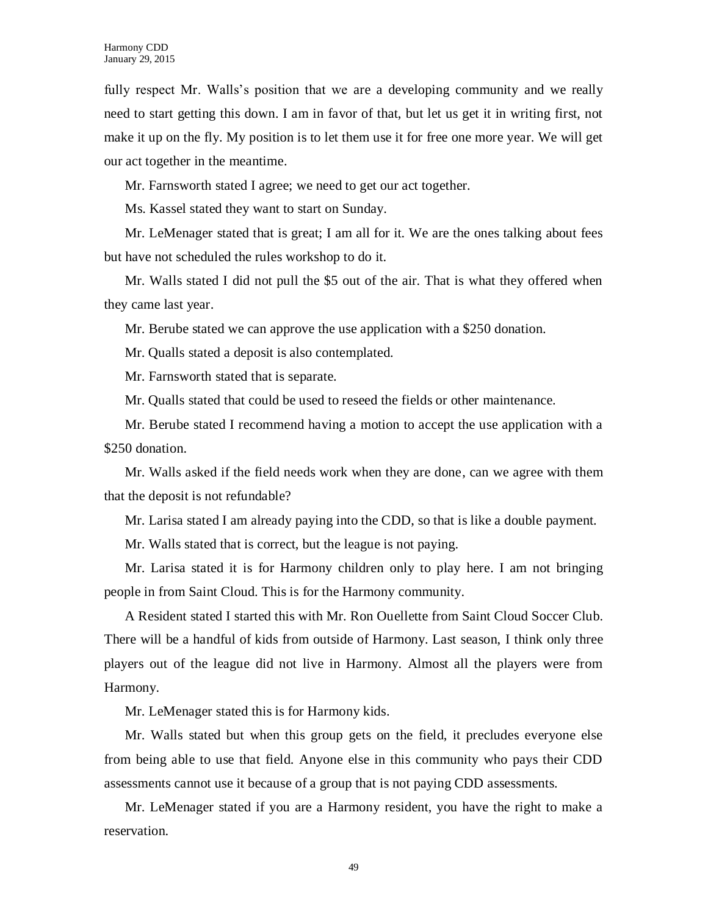fully respect Mr. Walls's position that we are a developing community and we really need to start getting this down. I am in favor of that, but let us get it in writing first, not make it up on the fly. My position is to let them use it for free one more year. We will get our act together in the meantime.

Mr. Farnsworth stated I agree; we need to get our act together.

Ms. Kassel stated they want to start on Sunday.

Mr. LeMenager stated that is great; I am all for it. We are the ones talking about fees but have not scheduled the rules workshop to do it.

Mr. Walls stated I did not pull the \$5 out of the air. That is what they offered when they came last year.

Mr. Berube stated we can approve the use application with a \$250 donation.

Mr. Qualls stated a deposit is also contemplated.

Mr. Farnsworth stated that is separate.

Mr. Qualls stated that could be used to reseed the fields or other maintenance.

Mr. Berube stated I recommend having a motion to accept the use application with a \$250 donation.

Mr. Walls asked if the field needs work when they are done, can we agree with them that the deposit is not refundable?

Mr. Larisa stated I am already paying into the CDD, so that is like a double payment.

Mr. Walls stated that is correct, but the league is not paying.

Mr. Larisa stated it is for Harmony children only to play here. I am not bringing people in from Saint Cloud. This is for the Harmony community.

A Resident stated I started this with Mr. Ron Ouellette from Saint Cloud Soccer Club. There will be a handful of kids from outside of Harmony. Last season, I think only three players out of the league did not live in Harmony. Almost all the players were from Harmony.

Mr. LeMenager stated this is for Harmony kids.

Mr. Walls stated but when this group gets on the field, it precludes everyone else from being able to use that field. Anyone else in this community who pays their CDD assessments cannot use it because of a group that is not paying CDD assessments.

Mr. LeMenager stated if you are a Harmony resident, you have the right to make a reservation.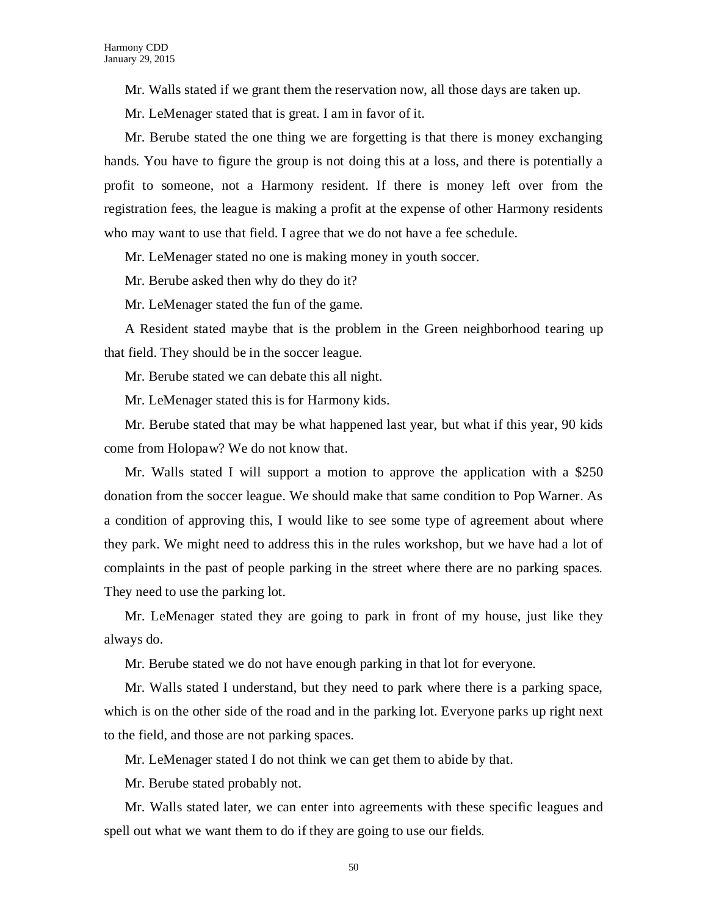Mr. Walls stated if we grant them the reservation now, all those days are taken up.

Mr. LeMenager stated that is great. I am in favor of it.

Mr. Berube stated the one thing we are forgetting is that there is money exchanging hands. You have to figure the group is not doing this at a loss, and there is potentially a profit to someone, not a Harmony resident. If there is money left over from the registration fees, the league is making a profit at the expense of other Harmony residents who may want to use that field. I agree that we do not have a fee schedule.

Mr. LeMenager stated no one is making money in youth soccer.

Mr. Berube asked then why do they do it?

Mr. LeMenager stated the fun of the game.

A Resident stated maybe that is the problem in the Green neighborhood tearing up that field. They should be in the soccer league.

Mr. Berube stated we can debate this all night.

Mr. LeMenager stated this is for Harmony kids.

Mr. Berube stated that may be what happened last year, but what if this year, 90 kids come from Holopaw? We do not know that.

Mr. Walls stated I will support a motion to approve the application with a \$250 donation from the soccer league. We should make that same condition to Pop Warner. As a condition of approving this, I would like to see some type of agreement about where they park. We might need to address this in the rules workshop, but we have had a lot of complaints in the past of people parking in the street where there are no parking spaces. They need to use the parking lot.

Mr. LeMenager stated they are going to park in front of my house, just like they always do.

Mr. Berube stated we do not have enough parking in that lot for everyone.

Mr. Walls stated I understand, but they need to park where there is a parking space, which is on the other side of the road and in the parking lot. Everyone parks up right next to the field, and those are not parking spaces.

Mr. LeMenager stated I do not think we can get them to abide by that.

Mr. Berube stated probably not.

Mr. Walls stated later, we can enter into agreements with these specific leagues and spell out what we want them to do if they are going to use our fields.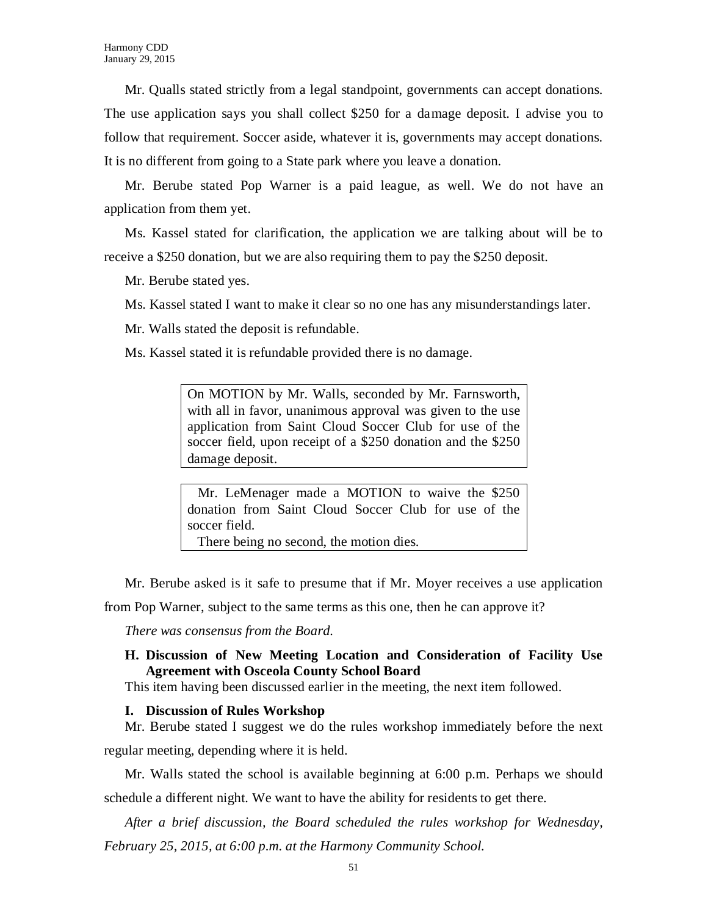Mr. Qualls stated strictly from a legal standpoint, governments can accept donations. The use application says you shall collect \$250 for a damage deposit. I advise you to follow that requirement. Soccer aside, whatever it is, governments may accept donations. It is no different from going to a State park where you leave a donation.

Mr. Berube stated Pop Warner is a paid league, as well. We do not have an application from them yet.

Ms. Kassel stated for clarification, the application we are talking about will be to receive a \$250 donation, but we are also requiring them to pay the \$250 deposit.

Mr. Berube stated yes.

Ms. Kassel stated I want to make it clear so no one has any misunderstandings later.

Mr. Walls stated the deposit is refundable.

Ms. Kassel stated it is refundable provided there is no damage.

On MOTION by Mr. Walls, seconded by Mr. Farnsworth, with all in favor, unanimous approval was given to the use application from Saint Cloud Soccer Club for use of the soccer field, upon receipt of a \$250 donation and the \$250 damage deposit.

 Mr. LeMenager made a MOTION to waive the \$250 donation from Saint Cloud Soccer Club for use of the soccer field.

There being no second, the motion dies.

Mr. Berube asked is it safe to presume that if Mr. Moyer receives a use application

from Pop Warner, subject to the same terms as this one, then he can approve it?

*There was consensus from the Board.*

# **H. Discussion of New Meeting Location and Consideration of Facility Use Agreement with Osceola County School Board**

This item having been discussed earlier in the meeting, the next item followed.

# **I. Discussion of Rules Workshop**

Mr. Berube stated I suggest we do the rules workshop immediately before the next regular meeting, depending where it is held.

Mr. Walls stated the school is available beginning at 6:00 p.m. Perhaps we should schedule a different night. We want to have the ability for residents to get there.

*After a brief discussion, the Board scheduled the rules workshop for Wednesday, February 25, 2015, at 6:00 p.m. at the Harmony Community School.*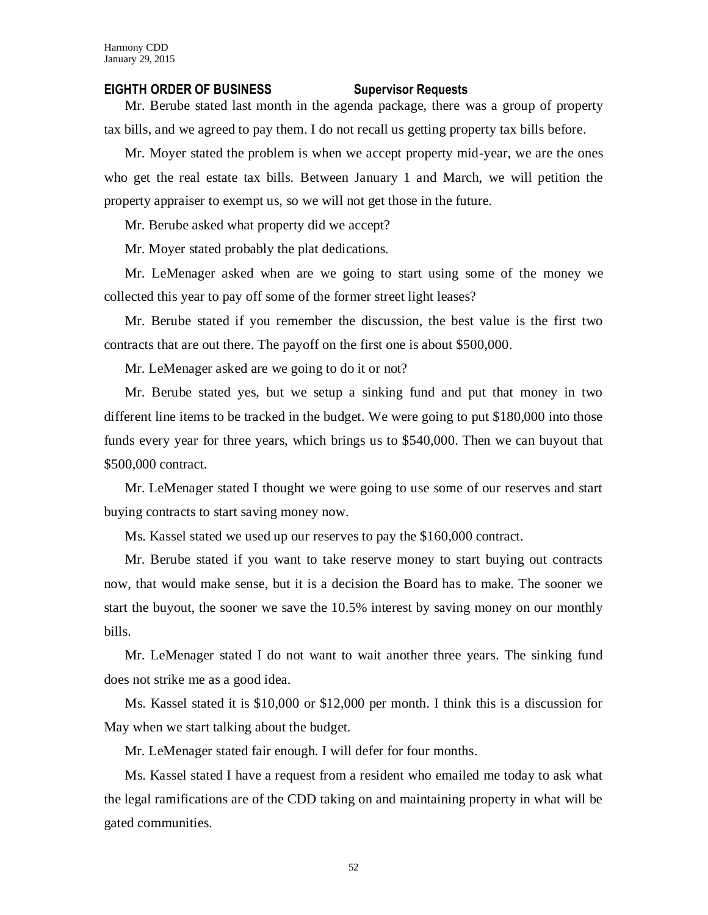#### **EIGHTH ORDER OF BUSINESS Supervisor Requests**

Mr. Berube stated last month in the agenda package, there was a group of property tax bills, and we agreed to pay them. I do not recall us getting property tax bills before.

Mr. Moyer stated the problem is when we accept property mid-year, we are the ones who get the real estate tax bills. Between January 1 and March, we will petition the property appraiser to exempt us, so we will not get those in the future.

Mr. Berube asked what property did we accept?

Mr. Moyer stated probably the plat dedications.

Mr. LeMenager asked when are we going to start using some of the money we collected this year to pay off some of the former street light leases?

Mr. Berube stated if you remember the discussion, the best value is the first two contracts that are out there. The payoff on the first one is about \$500,000.

Mr. LeMenager asked are we going to do it or not?

Mr. Berube stated yes, but we setup a sinking fund and put that money in two different line items to be tracked in the budget. We were going to put \$180,000 into those funds every year for three years, which brings us to \$540,000. Then we can buyout that \$500,000 contract.

Mr. LeMenager stated I thought we were going to use some of our reserves and start buying contracts to start saving money now.

Ms. Kassel stated we used up our reserves to pay the \$160,000 contract.

Mr. Berube stated if you want to take reserve money to start buying out contracts now, that would make sense, but it is a decision the Board has to make. The sooner we start the buyout, the sooner we save the 10.5% interest by saving money on our monthly bills.

Mr. LeMenager stated I do not want to wait another three years. The sinking fund does not strike me as a good idea.

Ms. Kassel stated it is \$10,000 or \$12,000 per month. I think this is a discussion for May when we start talking about the budget.

Mr. LeMenager stated fair enough. I will defer for four months.

Ms. Kassel stated I have a request from a resident who emailed me today to ask what the legal ramifications are of the CDD taking on and maintaining property in what will be gated communities.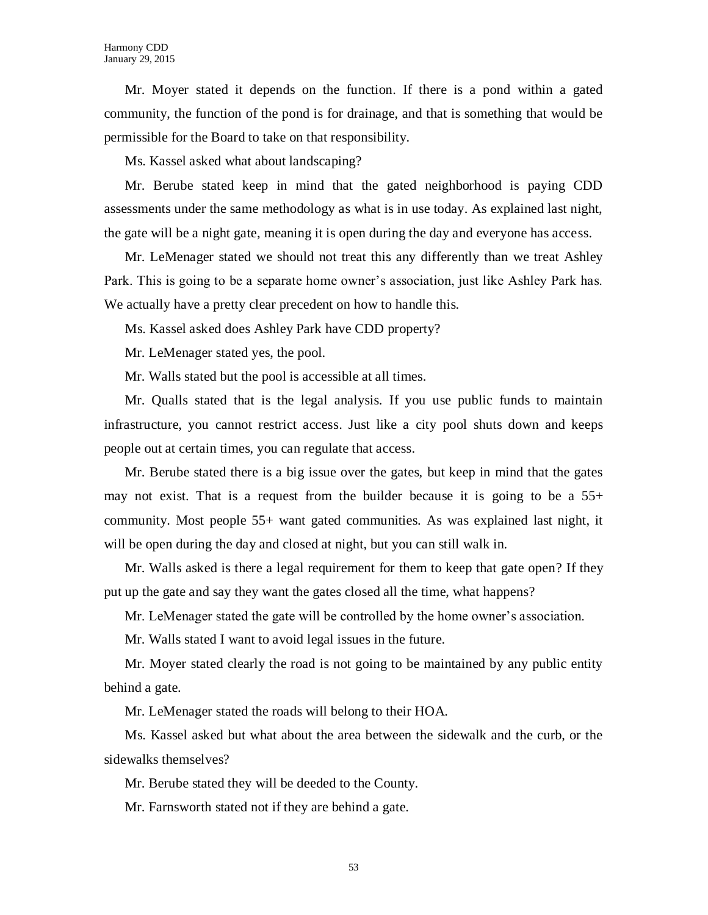Mr. Moyer stated it depends on the function. If there is a pond within a gated community, the function of the pond is for drainage, and that is something that would be permissible for the Board to take on that responsibility.

Ms. Kassel asked what about landscaping?

Mr. Berube stated keep in mind that the gated neighborhood is paying CDD assessments under the same methodology as what is in use today. As explained last night, the gate will be a night gate, meaning it is open during the day and everyone has access.

Mr. LeMenager stated we should not treat this any differently than we treat Ashley Park. This is going to be a separate home owner's association, just like Ashley Park has. We actually have a pretty clear precedent on how to handle this.

Ms. Kassel asked does Ashley Park have CDD property?

Mr. LeMenager stated yes, the pool.

Mr. Walls stated but the pool is accessible at all times.

Mr. Qualls stated that is the legal analysis. If you use public funds to maintain infrastructure, you cannot restrict access. Just like a city pool shuts down and keeps people out at certain times, you can regulate that access.

Mr. Berube stated there is a big issue over the gates, but keep in mind that the gates may not exist. That is a request from the builder because it is going to be a 55+ community. Most people 55+ want gated communities. As was explained last night, it will be open during the day and closed at night, but you can still walk in.

Mr. Walls asked is there a legal requirement for them to keep that gate open? If they put up the gate and say they want the gates closed all the time, what happens?

Mr. LeMenager stated the gate will be controlled by the home owner's association.

Mr. Walls stated I want to avoid legal issues in the future.

Mr. Moyer stated clearly the road is not going to be maintained by any public entity behind a gate.

Mr. LeMenager stated the roads will belong to their HOA.

Ms. Kassel asked but what about the area between the sidewalk and the curb, or the sidewalks themselves?

Mr. Berube stated they will be deeded to the County.

Mr. Farnsworth stated not if they are behind a gate.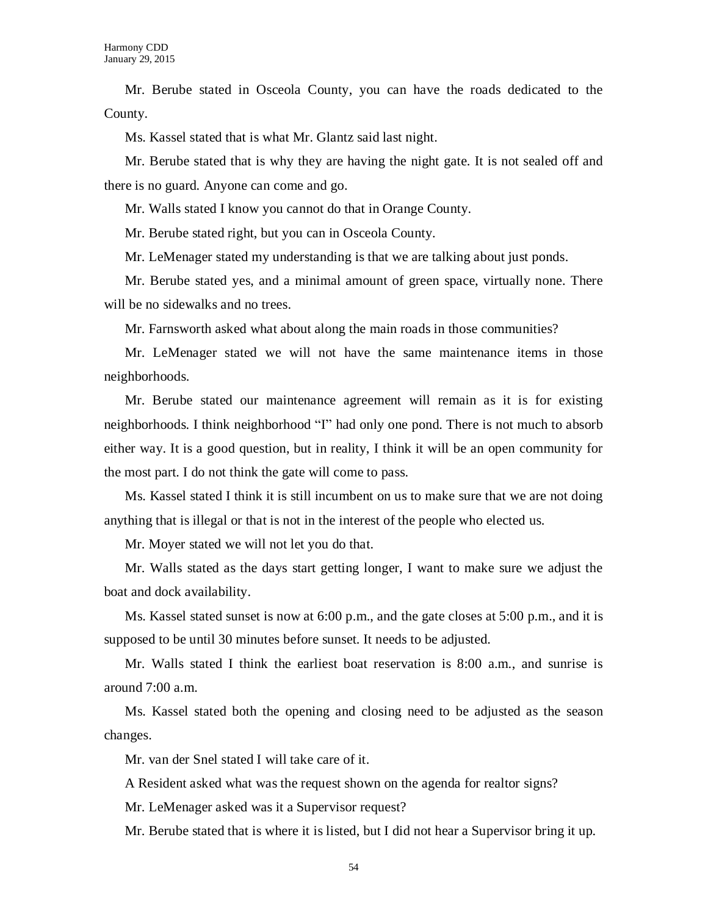Mr. Berube stated in Osceola County, you can have the roads dedicated to the County.

Ms. Kassel stated that is what Mr. Glantz said last night.

Mr. Berube stated that is why they are having the night gate. It is not sealed off and there is no guard. Anyone can come and go.

Mr. Walls stated I know you cannot do that in Orange County.

Mr. Berube stated right, but you can in Osceola County.

Mr. LeMenager stated my understanding is that we are talking about just ponds.

Mr. Berube stated yes, and a minimal amount of green space, virtually none. There will be no sidewalks and no trees.

Mr. Farnsworth asked what about along the main roads in those communities?

Mr. LeMenager stated we will not have the same maintenance items in those neighborhoods.

Mr. Berube stated our maintenance agreement will remain as it is for existing neighborhoods. I think neighborhood "I" had only one pond. There is not much to absorb either way. It is a good question, but in reality, I think it will be an open community for the most part. I do not think the gate will come to pass.

Ms. Kassel stated I think it is still incumbent on us to make sure that we are not doing anything that is illegal or that is not in the interest of the people who elected us.

Mr. Moyer stated we will not let you do that.

Mr. Walls stated as the days start getting longer, I want to make sure we adjust the boat and dock availability.

Ms. Kassel stated sunset is now at 6:00 p.m., and the gate closes at 5:00 p.m., and it is supposed to be until 30 minutes before sunset. It needs to be adjusted.

Mr. Walls stated I think the earliest boat reservation is 8:00 a.m., and sunrise is around 7:00 a.m.

Ms. Kassel stated both the opening and closing need to be adjusted as the season changes.

Mr. van der Snel stated I will take care of it.

A Resident asked what was the request shown on the agenda for realtor signs?

Mr. LeMenager asked was it a Supervisor request?

Mr. Berube stated that is where it is listed, but I did not hear a Supervisor bring it up.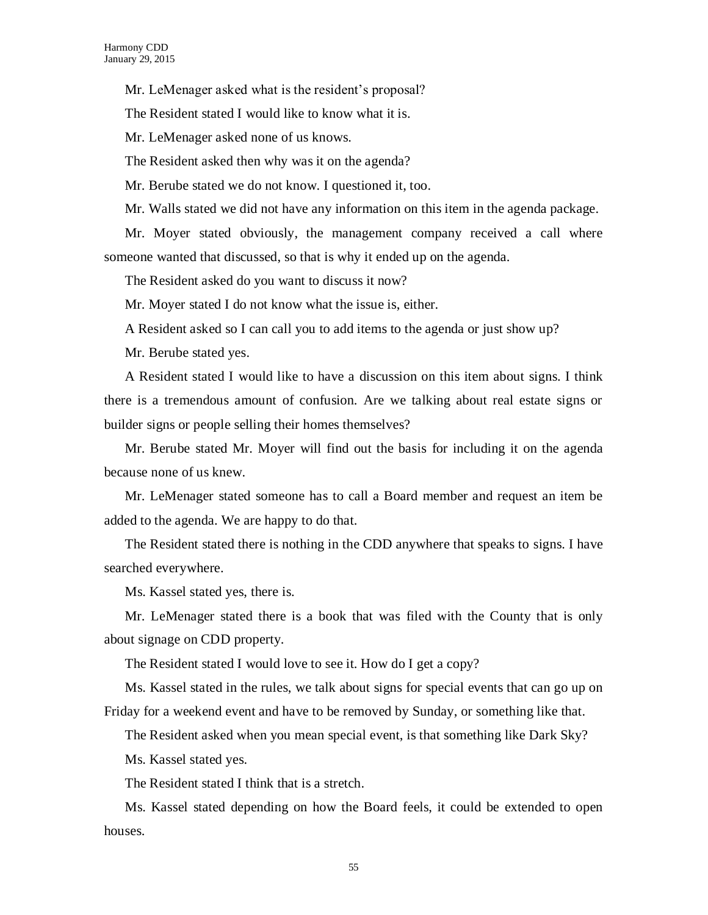Mr. LeMenager asked what is the resident's proposal?

The Resident stated I would like to know what it is.

Mr. LeMenager asked none of us knows.

The Resident asked then why was it on the agenda?

Mr. Berube stated we do not know. I questioned it, too.

Mr. Walls stated we did not have any information on this item in the agenda package.

Mr. Moyer stated obviously, the management company received a call where someone wanted that discussed, so that is why it ended up on the agenda.

The Resident asked do you want to discuss it now?

Mr. Moyer stated I do not know what the issue is, either.

A Resident asked so I can call you to add items to the agenda or just show up?

Mr. Berube stated yes.

A Resident stated I would like to have a discussion on this item about signs. I think there is a tremendous amount of confusion. Are we talking about real estate signs or builder signs or people selling their homes themselves?

Mr. Berube stated Mr. Moyer will find out the basis for including it on the agenda because none of us knew.

Mr. LeMenager stated someone has to call a Board member and request an item be added to the agenda. We are happy to do that.

The Resident stated there is nothing in the CDD anywhere that speaks to signs. I have searched everywhere.

Ms. Kassel stated yes, there is.

Mr. LeMenager stated there is a book that was filed with the County that is only about signage on CDD property.

The Resident stated I would love to see it. How do I get a copy?

Ms. Kassel stated in the rules, we talk about signs for special events that can go up on Friday for a weekend event and have to be removed by Sunday, or something like that.

The Resident asked when you mean special event, is that something like Dark Sky?

Ms. Kassel stated yes.

The Resident stated I think that is a stretch.

Ms. Kassel stated depending on how the Board feels, it could be extended to open houses.

55